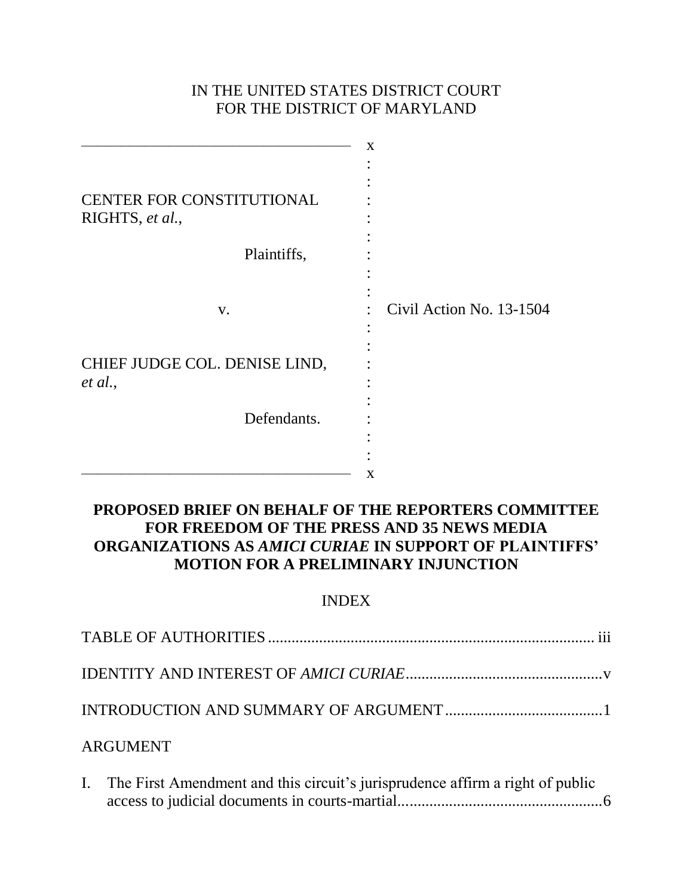# IN THE UNITED STATES DISTRICT COURT FOR THE DISTRICT OF MARYLAND

|                                                             | X                        |
|-------------------------------------------------------------|--------------------------|
| CENTER FOR CONSTITUTIONAL<br>RIGHTS, et al.,<br>Plaintiffs, |                          |
| V.                                                          | Civil Action No. 13-1504 |
| CHIEF JUDGE COL. DENISE LIND,<br>et al.,                    |                          |
| Defendants.                                                 |                          |
|                                                             | X                        |

# **PROPOSED BRIEF ON BEHALF OF THE REPORTERS COMMITTEE FOR FREEDOM OF THE PRESS AND 35 NEWS MEDIA ORGANIZATIONS AS** *AMICI CURIAE* **IN SUPPORT OF PLAINTIFFS' MOTION FOR A PRELIMINARY INJUNCTION**

### INDEX

| ARGUMENT |  |
|----------|--|
|          |  |

| The First Amendment and this circuit's jurisprudence affirm a right of public |
|-------------------------------------------------------------------------------|
|                                                                               |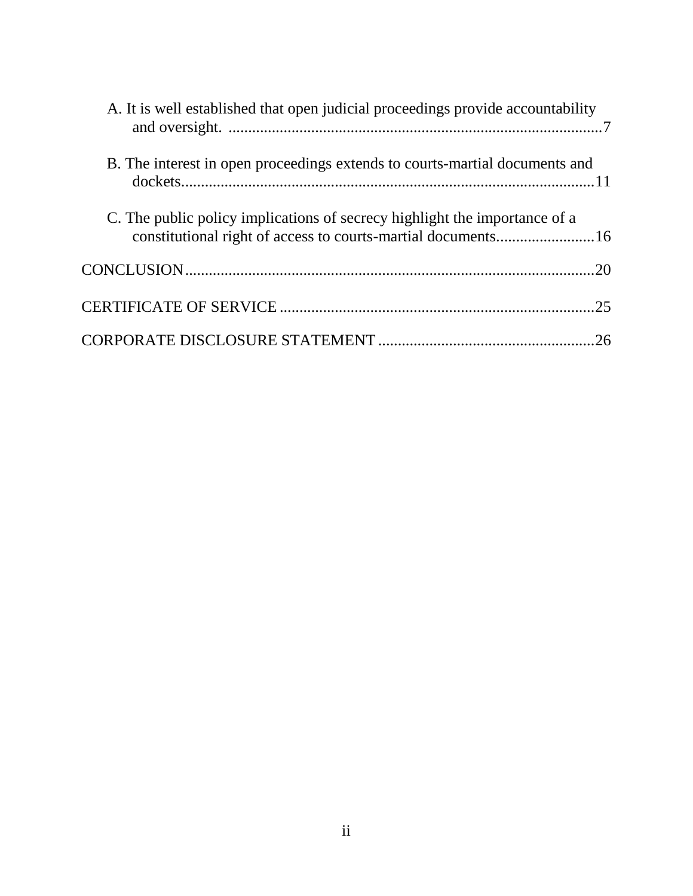| A. It is well established that open judicial proceedings provide accountability |
|---------------------------------------------------------------------------------|
| B. The interest in open proceedings extends to courts-martial documents and     |
| C. The public policy implications of secrecy highlight the importance of a      |
|                                                                                 |
| .25                                                                             |
|                                                                                 |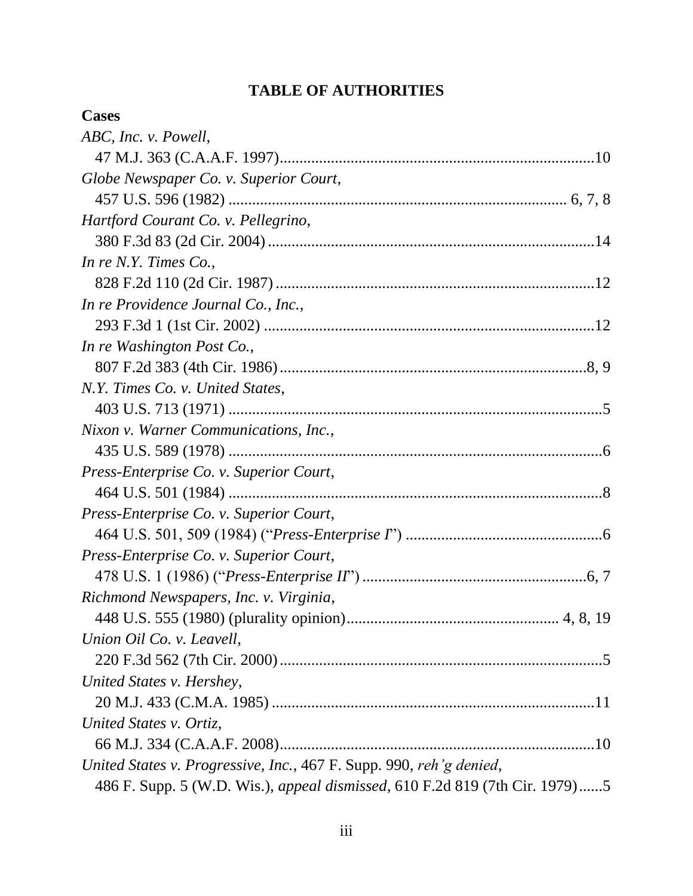# **TABLE OF AUTHORITIES**

| ABC, Inc. v. Powell,                                                        |
|-----------------------------------------------------------------------------|
|                                                                             |
| Globe Newspaper Co. v. Superior Court,                                      |
|                                                                             |
| Hartford Courant Co. v. Pellegrino,                                         |
|                                                                             |
| In re $N.Y.$ Times $Co.$ ,                                                  |
|                                                                             |
| In re Providence Journal Co., Inc.,                                         |
|                                                                             |
| In re Washington Post Co.,                                                  |
|                                                                             |
| N.Y. Times Co. v. United States,                                            |
|                                                                             |
| Nixon v. Warner Communications, Inc.,                                       |
|                                                                             |
| Press-Enterprise Co. v. Superior Court,                                     |
|                                                                             |
| Press-Enterprise Co. v. Superior Court,                                     |
|                                                                             |
| Press-Enterprise Co. v. Superior Court,                                     |
|                                                                             |
| Richmond Newspapers, Inc. v. Virginia,                                      |
|                                                                             |
| Union Oil Co. v. Leavell,                                                   |
|                                                                             |
| United States v. Hershey,                                                   |
|                                                                             |
| United States v. Ortiz,                                                     |
|                                                                             |
| United States v. Progressive, Inc., 467 F. Supp. 990, reh'g denied,         |
| 486 F. Supp. 5 (W.D. Wis.), appeal dismissed, 610 F.2d 819 (7th Cir. 1979)5 |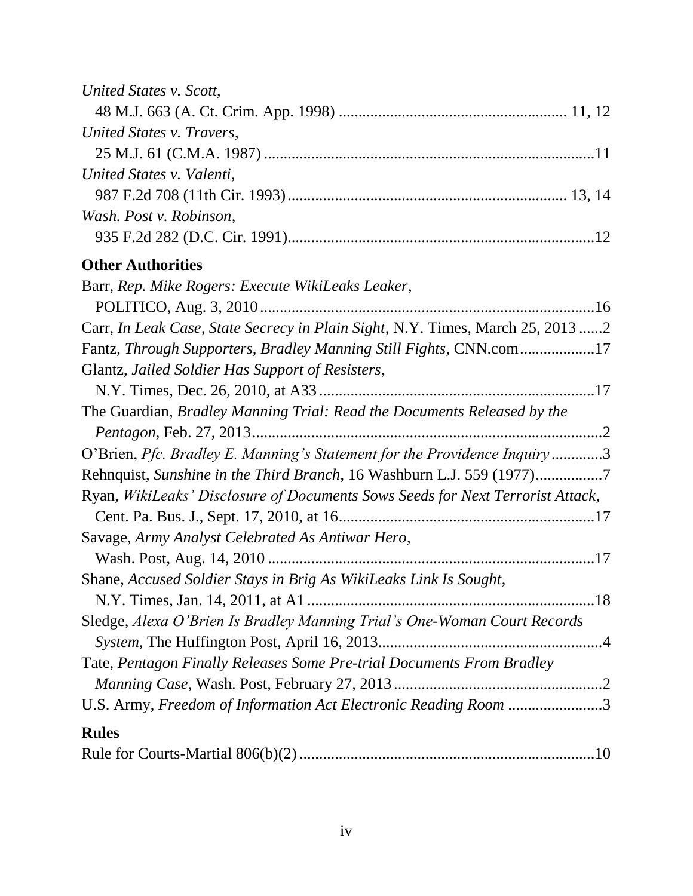| United States v. Scott,                                                        |
|--------------------------------------------------------------------------------|
|                                                                                |
| United States v. Travers,                                                      |
|                                                                                |
| United States v. Valenti,                                                      |
|                                                                                |
| Wash. Post v. Robinson,                                                        |
|                                                                                |
| <b>Other Authorities</b>                                                       |
| Barr, Rep. Mike Rogers: Execute WikiLeaks Leaker,                              |
|                                                                                |
| Carr, In Leak Case, State Secrecy in Plain Sight, N.Y. Times, March 25, 2013 2 |
| Fantz, Through Supporters, Bradley Manning Still Fights, CNN.com17             |
| Glantz, Jailed Soldier Has Support of Resisters,                               |
|                                                                                |
| The Guardian, Bradley Manning Trial: Read the Documents Released by the        |
|                                                                                |
| O'Brien, Pfc. Bradley E. Manning's Statement for the Providence Inquiry3       |
| Rehnquist, Sunshine in the Third Branch, 16 Washburn L.J. 559 (1977)7          |
| Ryan, WikiLeaks' Disclosure of Documents Sows Seeds for Next Terrorist Attack, |
|                                                                                |
| Savage, Army Analyst Celebrated As Antiwar Hero,                               |
|                                                                                |
| Shane, Accused Soldier Stays in Brig As WikiLeaks Link Is Sought,              |
|                                                                                |
| Sledge, Alexa O'Brien Is Bradley Manning Trial's One-Woman Court Records       |
|                                                                                |
| Tate, Pentagon Finally Releases Some Pre-trial Documents From Bradley          |
|                                                                                |
| U.S. Army, Freedom of Information Act Electronic Reading Room 3                |
| <b>Rules</b>                                                                   |
|                                                                                |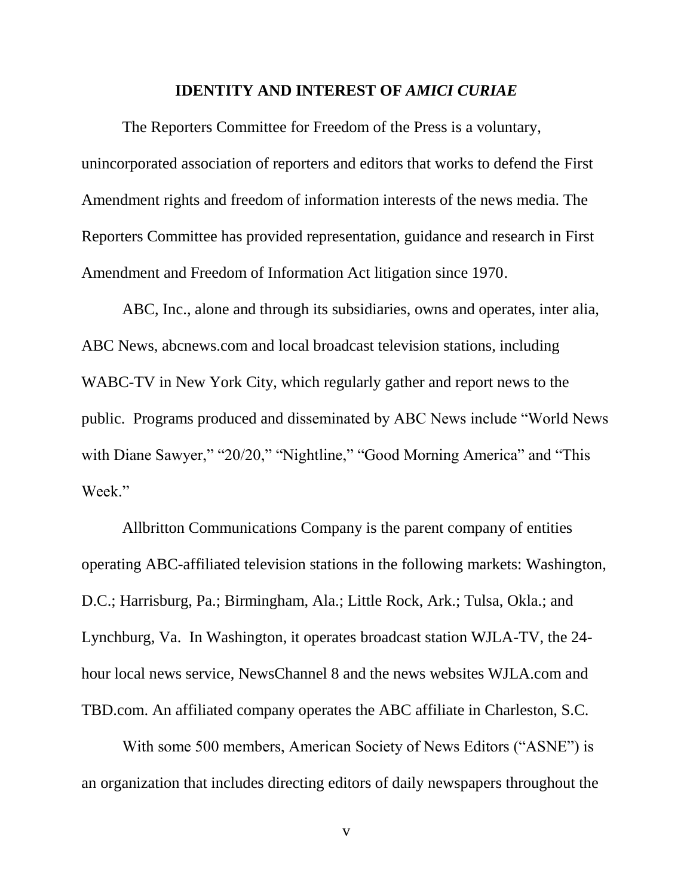#### **IDENTITY AND INTEREST OF** *AMICI CURIAE*

The Reporters Committee for Freedom of the Press is a voluntary, unincorporated association of reporters and editors that works to defend the First Amendment rights and freedom of information interests of the news media. The Reporters Committee has provided representation, guidance and research in First Amendment and Freedom of Information Act litigation since 1970.

ABC, Inc., alone and through its subsidiaries, owns and operates, inter alia, ABC News, abcnews.com and local broadcast television stations, including WABC-TV in New York City, which regularly gather and report news to the public. Programs produced and disseminated by ABC News include "World News with Diane Sawyer," "20/20," "Nightline," "Good Morning America" and "This Week."

Allbritton Communications Company is the parent company of entities operating ABC-affiliated television stations in the following markets: Washington, D.C.; Harrisburg, Pa.; Birmingham, Ala.; Little Rock, Ark.; Tulsa, Okla.; and Lynchburg, Va. In Washington, it operates broadcast station WJLA-TV, the 24 hour local news service, NewsChannel 8 and the news websites WJLA.com and TBD.com. An affiliated company operates the ABC affiliate in Charleston, S.C.

With some 500 members, American Society of News Editors ("ASNE") is an organization that includes directing editors of daily newspapers throughout the

v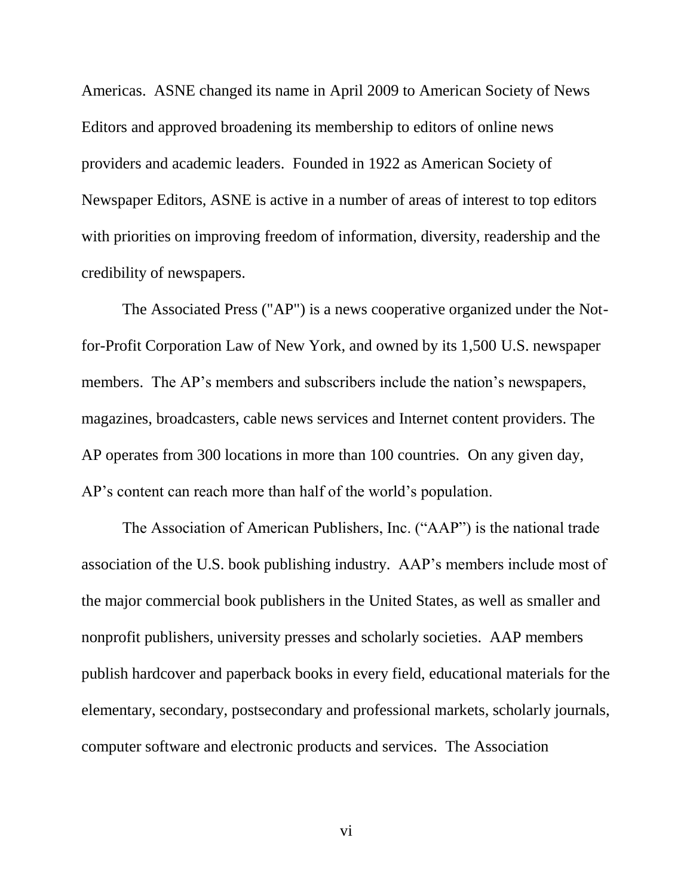Americas. ASNE changed its name in April 2009 to American Society of News Editors and approved broadening its membership to editors of online news providers and academic leaders. Founded in 1922 as American Society of Newspaper Editors, ASNE is active in a number of areas of interest to top editors with priorities on improving freedom of information, diversity, readership and the credibility of newspapers.

The Associated Press ("AP") is a news cooperative organized under the Notfor-Profit Corporation Law of New York, and owned by its 1,500 U.S. newspaper members. The AP's members and subscribers include the nation's newspapers, magazines, broadcasters, cable news services and Internet content providers. The AP operates from 300 locations in more than 100 countries. On any given day, AP's content can reach more than half of the world's population.

The Association of American Publishers, Inc. ("AAP") is the national trade association of the U.S. book publishing industry. AAP's members include most of the major commercial book publishers in the United States, as well as smaller and nonprofit publishers, university presses and scholarly societies. AAP members publish hardcover and paperback books in every field, educational materials for the elementary, secondary, postsecondary and professional markets, scholarly journals, computer software and electronic products and services. The Association

vi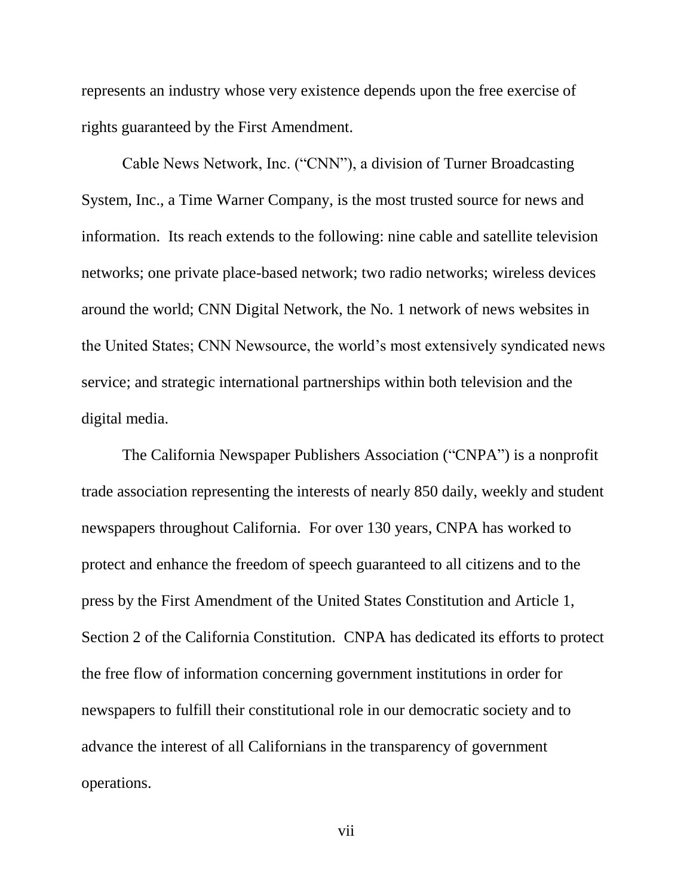represents an industry whose very existence depends upon the free exercise of rights guaranteed by the First Amendment.

Cable News Network, Inc. ("CNN"), a division of Turner Broadcasting System, Inc., a Time Warner Company, is the most trusted source for news and information. Its reach extends to the following: nine cable and satellite television networks; one private place-based network; two radio networks; wireless devices around the world; CNN Digital Network, the No. 1 network of news websites in the United States; CNN Newsource, the world's most extensively syndicated news service; and strategic international partnerships within both television and the digital media.

The California Newspaper Publishers Association ("CNPA") is a nonprofit trade association representing the interests of nearly 850 daily, weekly and student newspapers throughout California. For over 130 years, CNPA has worked to protect and enhance the freedom of speech guaranteed to all citizens and to the press by the First Amendment of the United States Constitution and Article 1, Section 2 of the California Constitution. CNPA has dedicated its efforts to protect the free flow of information concerning government institutions in order for newspapers to fulfill their constitutional role in our democratic society and to advance the interest of all Californians in the transparency of government operations.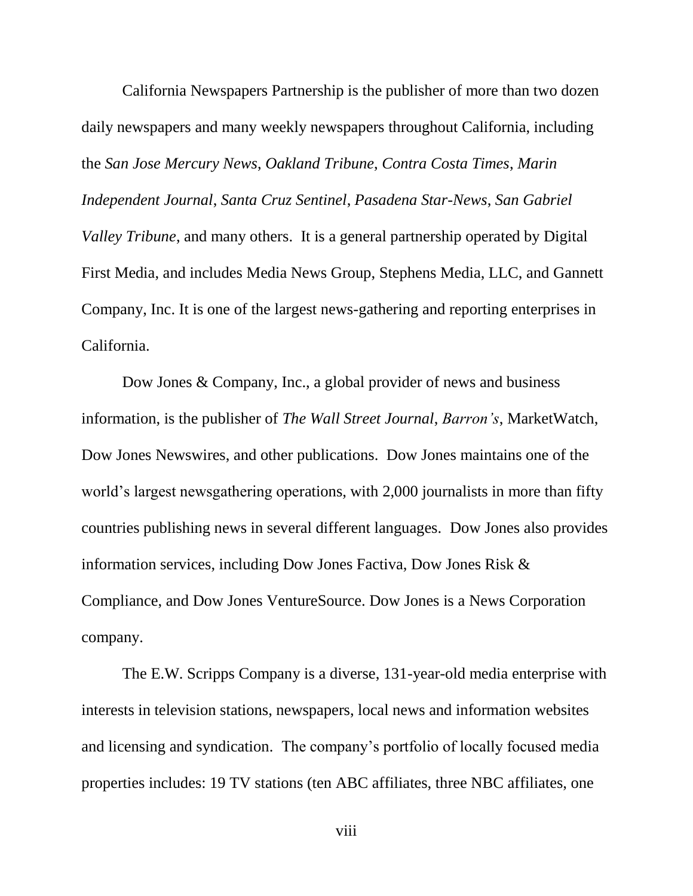California Newspapers Partnership is the publisher of more than two dozen daily newspapers and many weekly newspapers throughout California, including the *San Jose Mercury News*, *Oakland Tribune*, *Contra Costa Times*, *Marin Independent Journal*, *Santa Cruz Sentinel*, *Pasadena Star-News*, *San Gabriel Valley Tribune*, and many others. It is a general partnership operated by Digital First Media, and includes Media News Group, Stephens Media, LLC, and Gannett Company, Inc. It is one of the largest news-gathering and reporting enterprises in California.

Dow Jones & Company, Inc., a global provider of news and business information, is the publisher of *The Wall Street Journal*, *Barron's*, MarketWatch, Dow Jones Newswires, and other publications. Dow Jones maintains one of the world's largest newsgathering operations, with 2,000 journalists in more than fifty countries publishing news in several different languages. Dow Jones also provides information services, including Dow Jones Factiva, Dow Jones Risk & Compliance, and Dow Jones VentureSource. Dow Jones is a News Corporation company.

The E.W. Scripps Company is a diverse, 131-year-old media enterprise with interests in television stations, newspapers, local news and information websites and licensing and syndication. The company's portfolio of locally focused media properties includes: 19 TV stations (ten ABC affiliates, three NBC affiliates, one

viii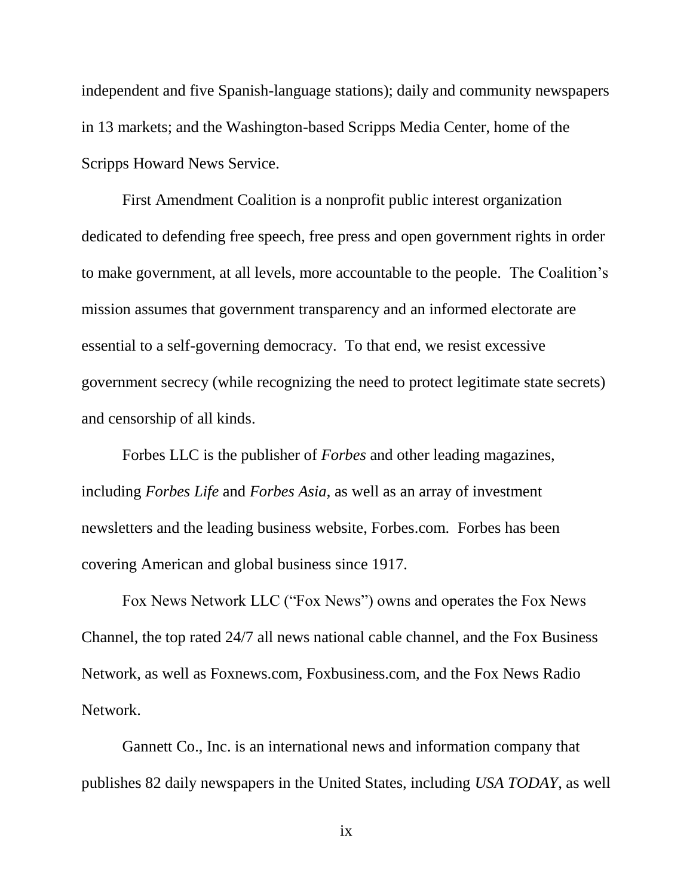independent and five Spanish-language stations); daily and community newspapers in 13 markets; and the Washington-based Scripps Media Center, home of the Scripps Howard News Service.

First Amendment Coalition is a nonprofit public interest organization dedicated to defending free speech, free press and open government rights in order to make government, at all levels, more accountable to the people. The Coalition's mission assumes that government transparency and an informed electorate are essential to a self-governing democracy. To that end, we resist excessive government secrecy (while recognizing the need to protect legitimate state secrets) and censorship of all kinds.

Forbes LLC is the publisher of *Forbes* and other leading magazines, including *Forbes Life* and *Forbes Asia*, as well as an array of investment newsletters and the leading business website, Forbes.com. Forbes has been covering American and global business since 1917.

Fox News Network LLC ("Fox News") owns and operates the Fox News Channel, the top rated 24/7 all news national cable channel, and the Fox Business Network, as well as Foxnews.com, Foxbusiness.com, and the Fox News Radio Network.

Gannett Co., Inc. is an international news and information company that publishes 82 daily newspapers in the United States, including *USA TODAY*, as well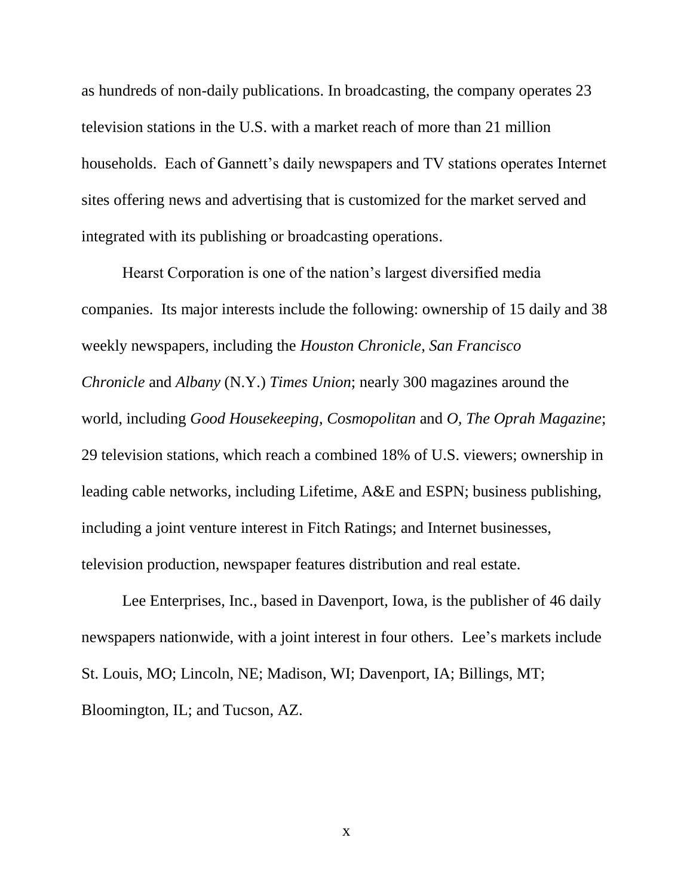as hundreds of non-daily publications. In broadcasting, the company operates 23 television stations in the U.S. with a market reach of more than 21 million households. Each of Gannett's daily newspapers and TV stations operates Internet sites offering news and advertising that is customized for the market served and integrated with its publishing or broadcasting operations.

Hearst Corporation is one of the nation's largest diversified media companies. Its major interests include the following: ownership of 15 daily and 38 weekly newspapers, including the *Houston Chronicle*, *San Francisco Chronicle* and *Albany* (N.Y.) *Times Union*; nearly 300 magazines around the world, including *Good Housekeeping*, *Cosmopolitan* and *O, The Oprah Magazine*; 29 television stations, which reach a combined 18% of U.S. viewers; ownership in leading cable networks, including Lifetime, A&E and ESPN; business publishing, including a joint venture interest in Fitch Ratings; and Internet businesses, television production, newspaper features distribution and real estate.

Lee Enterprises, Inc., based in Davenport, Iowa, is the publisher of 46 daily newspapers nationwide, with a joint interest in four others. Lee's markets include St. Louis, MO; Lincoln, NE; Madison, WI; Davenport, IA; Billings, MT; Bloomington, IL; and Tucson, AZ.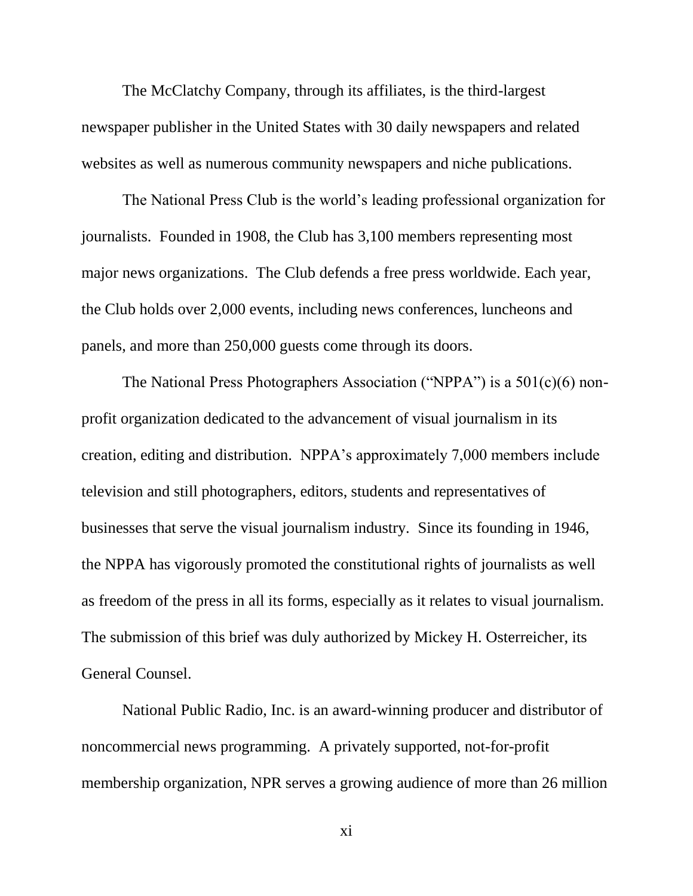The McClatchy Company, through its affiliates, is the third-largest newspaper publisher in the United States with 30 daily newspapers and related websites as well as numerous community newspapers and niche publications.

The National Press Club is the world's leading professional organization for journalists. Founded in 1908, the Club has 3,100 members representing most major news organizations. The Club defends a free press worldwide. Each year, the Club holds over 2,000 events, including news conferences, luncheons and panels, and more than 250,000 guests come through its doors.

The National Press Photographers Association ("NPPA") is a 501(c)(6) nonprofit organization dedicated to the advancement of visual journalism in its creation, editing and distribution. NPPA's approximately 7,000 members include television and still photographers, editors, students and representatives of businesses that serve the visual journalism industry. Since its founding in 1946, the NPPA has vigorously promoted the constitutional rights of journalists as well as freedom of the press in all its forms, especially as it relates to visual journalism. The submission of this brief was duly authorized by Mickey H. Osterreicher, its General Counsel.

National Public Radio, Inc. is an award-winning producer and distributor of noncommercial news programming. A privately supported, not-for-profit membership organization, NPR serves a growing audience of more than 26 million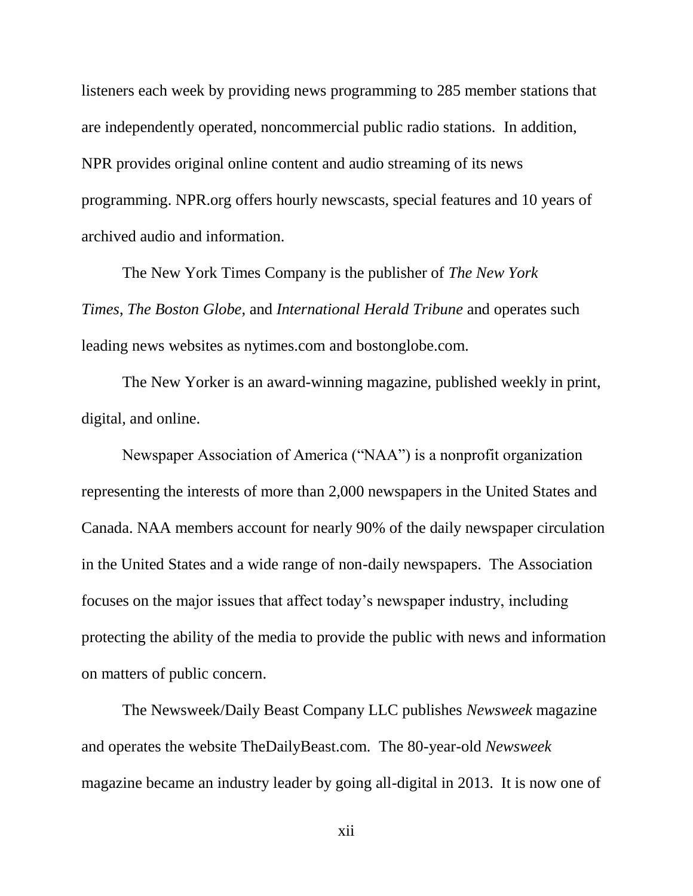listeners each week by providing news programming to 285 member stations that are independently operated, noncommercial public radio stations. In addition, NPR provides original online content and audio streaming of its news programming. NPR.org offers hourly newscasts, special features and 10 years of archived audio and information.

The New York Times Company is the publisher of *The New York Times*, *The Boston Globe*, and *International Herald Tribune* and operates such leading news websites as nytimes.com and bostonglobe.com.

The New Yorker is an award-winning magazine, published weekly in print, digital, and online.

Newspaper Association of America ("NAA") is a nonprofit organization representing the interests of more than 2,000 newspapers in the United States and Canada. NAA members account for nearly 90% of the daily newspaper circulation in the United States and a wide range of non-daily newspapers. The Association focuses on the major issues that affect today's newspaper industry, including protecting the ability of the media to provide the public with news and information on matters of public concern.

The Newsweek/Daily Beast Company LLC publishes *Newsweek* magazine and operates the website TheDailyBeast.com. The 80-year-old *Newsweek* magazine became an industry leader by going all-digital in 2013. It is now one of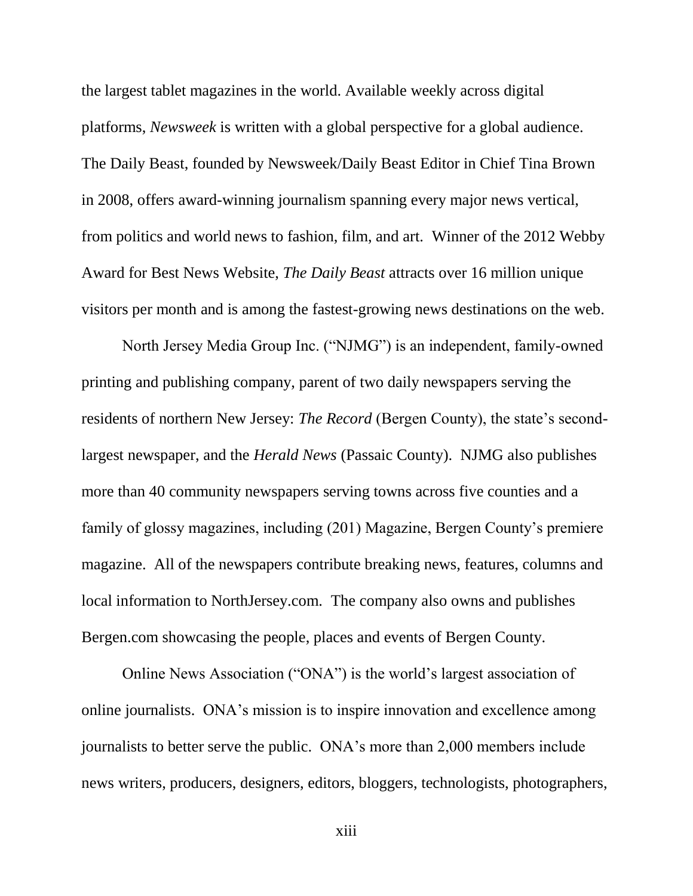the largest tablet magazines in the world. Available weekly across digital platforms, *Newsweek* is written with a global perspective for a global audience. The Daily Beast, founded by Newsweek/Daily Beast Editor in Chief Tina Brown in 2008, offers award-winning journalism spanning every major news vertical, from politics and world news to fashion, film, and art. Winner of the 2012 Webby Award for Best News Website, *The Daily Beast* attracts over 16 million unique visitors per month and is among the fastest-growing news destinations on the web.

North Jersey Media Group Inc. ("NJMG") is an independent, family-owned printing and publishing company, parent of two daily newspapers serving the residents of northern New Jersey: *The Record* (Bergen County), the state's secondlargest newspaper, and the *Herald News* (Passaic County). NJMG also publishes more than 40 community newspapers serving towns across five counties and a family of glossy magazines, including (201) Magazine, Bergen County's premiere magazine. All of the newspapers contribute breaking news, features, columns and local information to NorthJersey.com. The company also owns and publishes Bergen.com showcasing the people, places and events of Bergen County.

Online News Association ("ONA") is the world's largest association of online journalists. ONA's mission is to inspire innovation and excellence among journalists to better serve the public. ONA's more than 2,000 members include news writers, producers, designers, editors, bloggers, technologists, photographers,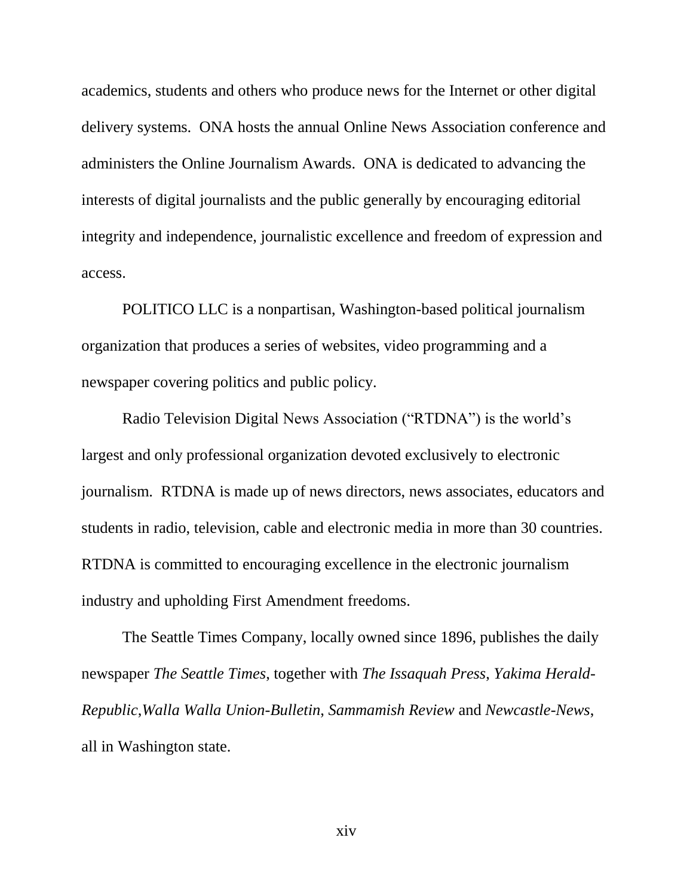academics, students and others who produce news for the Internet or other digital delivery systems. ONA hosts the annual Online News Association conference and administers the Online Journalism Awards. ONA is dedicated to advancing the interests of digital journalists and the public generally by encouraging editorial integrity and independence, journalistic excellence and freedom of expression and access.

POLITICO LLC is a nonpartisan, Washington-based political journalism organization that produces a series of websites, video programming and a newspaper covering politics and public policy.

Radio Television Digital News Association ("RTDNA") is the world's largest and only professional organization devoted exclusively to electronic journalism. RTDNA is made up of news directors, news associates, educators and students in radio, television, cable and electronic media in more than 30 countries. RTDNA is committed to encouraging excellence in the electronic journalism industry and upholding First Amendment freedoms.

The Seattle Times Company, locally owned since 1896, publishes the daily newspaper *The Seattle Times*, together with *The Issaquah Press*, *Yakima Herald-Republic*,*Walla Walla Union-Bulletin*, *Sammamish Review* and *Newcastle-News*, all in Washington state.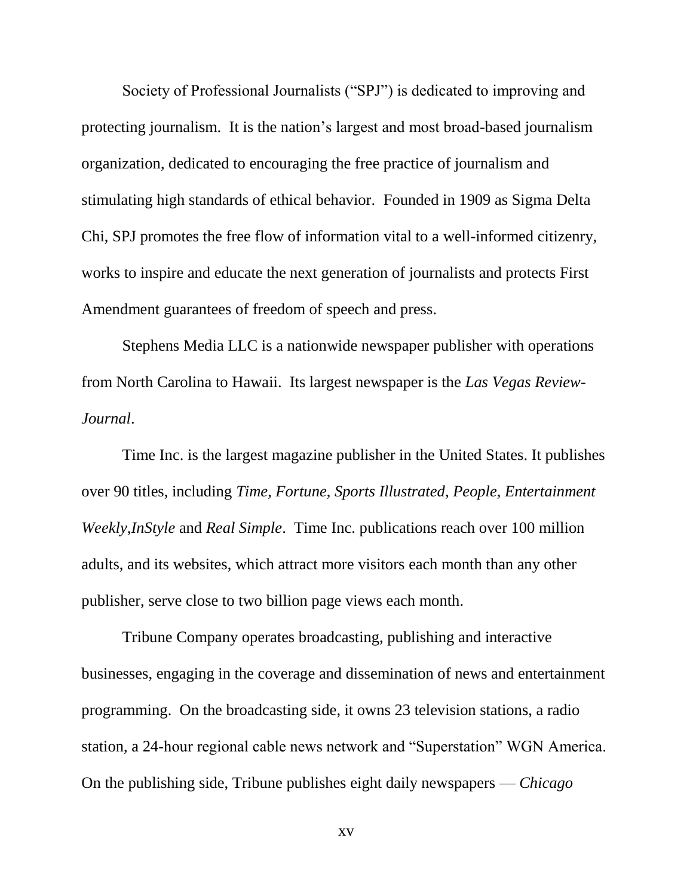Society of Professional Journalists ("SPJ") is dedicated to improving and protecting journalism. It is the nation's largest and most broad-based journalism organization, dedicated to encouraging the free practice of journalism and stimulating high standards of ethical behavior. Founded in 1909 as Sigma Delta Chi, SPJ promotes the free flow of information vital to a well-informed citizenry, works to inspire and educate the next generation of journalists and protects First Amendment guarantees of freedom of speech and press.

Stephens Media LLC is a nationwide newspaper publisher with operations from North Carolina to Hawaii. Its largest newspaper is the *Las Vegas Review-Journal*.

Time Inc. is the largest magazine publisher in the United States. It publishes over 90 titles, including *Time*, *Fortune*, *Sports Illustrated*, *People*, *Entertainment Weekly*,*InStyle* and *Real Simple*. Time Inc. publications reach over 100 million adults, and its websites, which attract more visitors each month than any other publisher, serve close to two billion page views each month.

Tribune Company operates broadcasting, publishing and interactive businesses, engaging in the coverage and dissemination of news and entertainment programming. On the broadcasting side, it owns 23 television stations, a radio station, a 24-hour regional cable news network and "Superstation" WGN America. On the publishing side, Tribune publishes eight daily newspapers — *Chicago* 

xv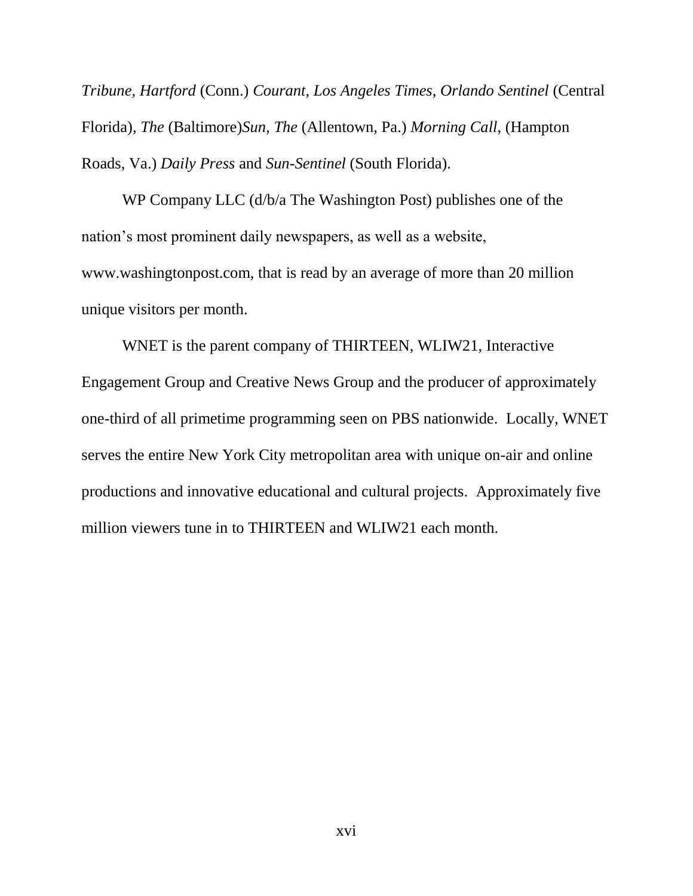*Tribune*, *Hartford* (Conn.) *Courant*, *Los Angeles Times*, *Orlando Sentinel* (Central Florida), *The* (Baltimore)*Sun*, *The* (Allentown, Pa.) *Morning Call*, (Hampton Roads, Va.) *Daily Press* and *Sun-Sentinel* (South Florida).

WP Company LLC (d/b/a The Washington Post) publishes one of the nation's most prominent daily newspapers, as well as a website, www.washingtonpost.com, that is read by an average of more than 20 million unique visitors per month.

WNET is the parent company of THIRTEEN, WLIW21, Interactive Engagement Group and Creative News Group and the producer of approximately one-third of all primetime programming seen on PBS nationwide. Locally, WNET serves the entire New York City metropolitan area with unique on-air and online productions and innovative educational and cultural projects. Approximately five million viewers tune in to THIRTEEN and WLIW21 each month.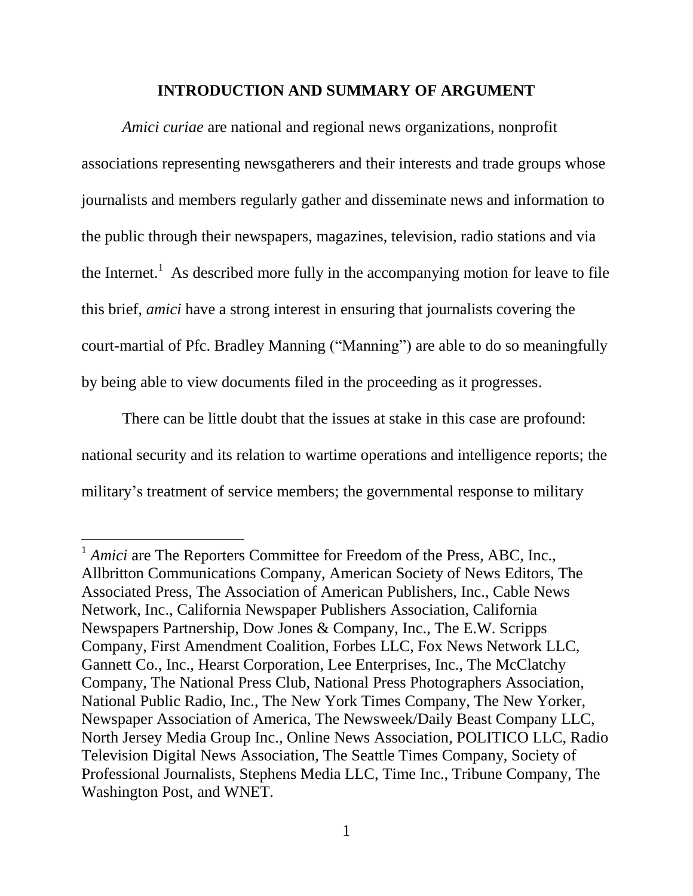#### **INTRODUCTION AND SUMMARY OF ARGUMENT**

*Amici curiae* are national and regional news organizations, nonprofit associations representing newsgatherers and their interests and trade groups whose journalists and members regularly gather and disseminate news and information to the public through their newspapers, magazines, television, radio stations and via the Internet.<sup>1</sup> As described more fully in the accompanying motion for leave to file this brief, *amici* have a strong interest in ensuring that journalists covering the court-martial of Pfc. Bradley Manning ("Manning") are able to do so meaningfully by being able to view documents filed in the proceeding as it progresses.

There can be little doubt that the issues at stake in this case are profound: national security and its relation to wartime operations and intelligence reports; the military's treatment of service members; the governmental response to military

<sup>&</sup>lt;sup>1</sup> Amici are The Reporters Committee for Freedom of the Press, ABC, Inc., Allbritton Communications Company, American Society of News Editors, The Associated Press, The Association of American Publishers, Inc., Cable News Network, Inc., California Newspaper Publishers Association, California Newspapers Partnership, Dow Jones & Company, Inc., The E.W. Scripps Company, First Amendment Coalition, Forbes LLC, Fox News Network LLC, Gannett Co., Inc., Hearst Corporation, Lee Enterprises, Inc., The McClatchy Company, The National Press Club, National Press Photographers Association, National Public Radio, Inc., The New York Times Company, The New Yorker, Newspaper Association of America, The Newsweek/Daily Beast Company LLC, North Jersey Media Group Inc., Online News Association, POLITICO LLC, Radio Television Digital News Association, The Seattle Times Company, Society of Professional Journalists, Stephens Media LLC, Time Inc., Tribune Company, The Washington Post, and WNET.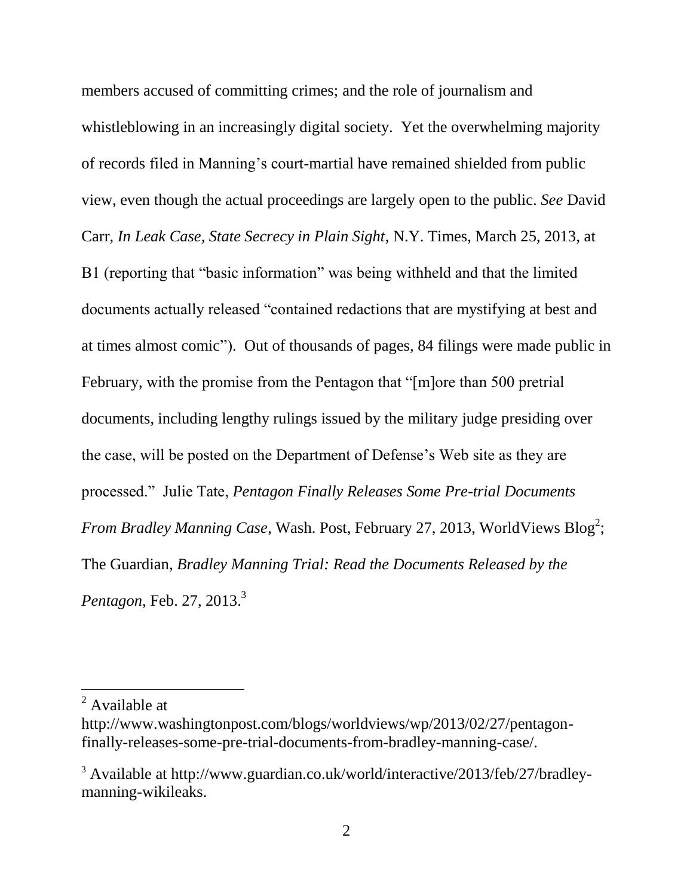members accused of committing crimes; and the role of journalism and whistleblowing in an increasingly digital society. Yet the overwhelming majority of records filed in Manning's court-martial have remained shielded from public view, even though the actual proceedings are largely open to the public. *See* David Carr, *In Leak Case, State Secrecy in Plain Sight*, N.Y. Times, March 25, 2013, at B1 (reporting that "basic information" was being withheld and that the limited documents actually released "contained redactions that are mystifying at best and at times almost comic"). Out of thousands of pages, 84 filings were made public in February, with the promise from the Pentagon that "[m]ore than 500 pretrial documents, including lengthy rulings issued by the military judge presiding over the case, will be posted on the Department of Defense's Web site as they are processed." Julie Tate, *Pentagon Finally Releases Some Pre-trial Documents From Bradley Manning Case*, Wash. Post, February 27, 2013, WorldViews Blog 2 ; The Guardian, *Bradley Manning Trial: Read the Documents Released by the Pentagon*, Feb. 27, 2013. 3

<sup>&</sup>lt;sup>2</sup> Available at

http://www.washingtonpost.com/blogs/worldviews/wp/2013/02/27/pentagonfinally-releases-some-pre-trial-documents-from-bradley-manning-case/.

<sup>3</sup> Available at http://www.guardian.co.uk/world/interactive/2013/feb/27/bradleymanning-wikileaks.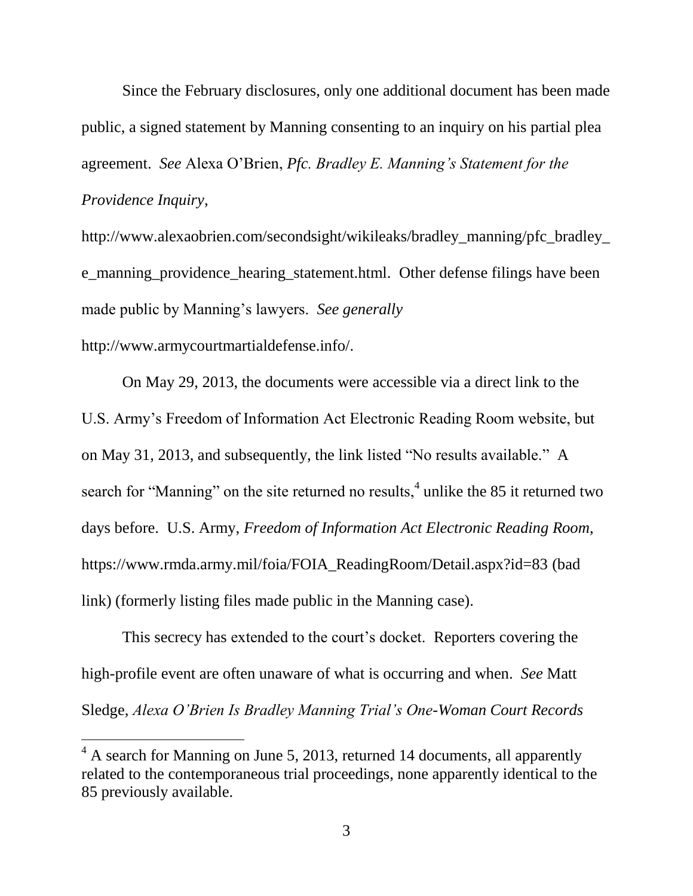Since the February disclosures, only one additional document has been made public, a signed statement by Manning consenting to an inquiry on his partial plea agreement. *See* Alexa O'Brien, *Pfc. Bradley E. Manning's Statement for the Providence Inquiry*,

http://www.alexaobrien.com/secondsight/wikileaks/bradley\_manning/pfc\_bradley\_ e\_manning\_providence\_hearing\_statement.html. Other defense filings have been made public by Manning's lawyers. *See generally* http://www.armycourtmartialdefense.info/.

On May 29, 2013, the documents were accessible via a direct link to the U.S. Army's Freedom of Information Act Electronic Reading Room website, but on May 31, 2013, and subsequently, the link listed "No results available." A search for "Manning" on the site returned no results, $4$  unlike the 85 it returned two days before. U.S. Army, *Freedom of Information Act Electronic Reading Room*, https://www.rmda.army.mil/foia/FOIA\_ReadingRoom/Detail.aspx?id=83 (bad link) (formerly listing files made public in the Manning case).

This secrecy has extended to the court's docket. Reporters covering the high-profile event are often unaware of what is occurring and when. *See* Matt Sledge, *Alexa O'Brien Is Bradley Manning Trial's One-Woman Court Records* 

 $^{4}$  A search for Manning on June 5, 2013, returned 14 documents, all apparently related to the contemporaneous trial proceedings, none apparently identical to the 85 previously available.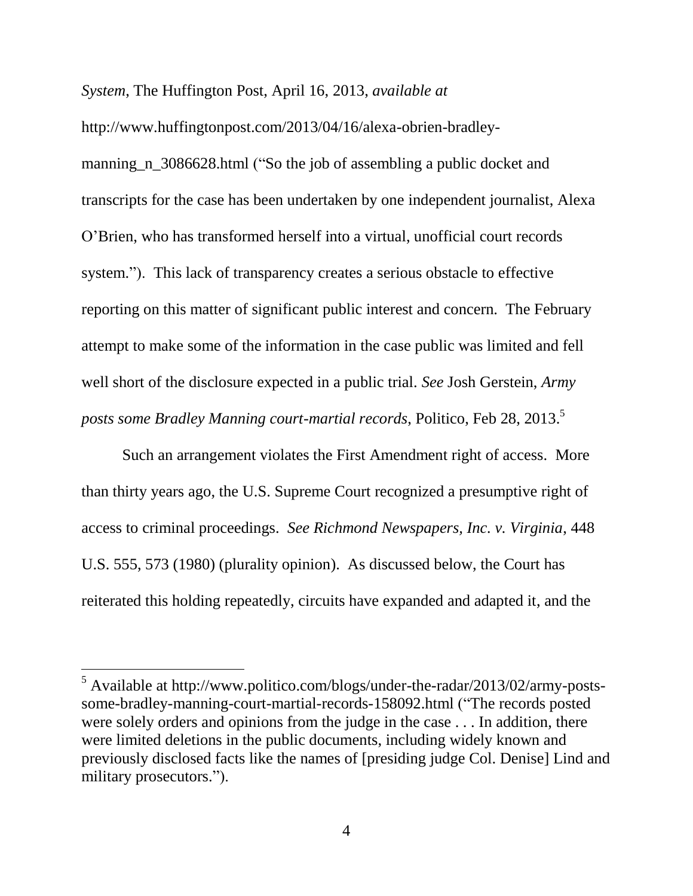*System*, The Huffington Post, April 16, 2013, *available at*

http://www.huffingtonpost.com/2013/04/16/alexa-obrien-bradleymanning n 3086628.html ("So the job of assembling a public docket and transcripts for the case has been undertaken by one independent journalist, Alexa O'Brien, who has transformed herself into a virtual, unofficial court records system."). This lack of transparency creates a serious obstacle to effective reporting on this matter of significant public interest and concern. The February attempt to make some of the information in the case public was limited and fell well short of the disclosure expected in a public trial. *See* Josh Gerstein, *Army posts some Bradley Manning court-martial records*, Politico, Feb 28, 2013. 5

Such an arrangement violates the First Amendment right of access. More than thirty years ago, the U.S. Supreme Court recognized a presumptive right of access to criminal proceedings. *See Richmond Newspapers, Inc. v. Virginia*, 448 U.S. 555, 573 (1980) (plurality opinion). As discussed below, the Court has reiterated this holding repeatedly, circuits have expanded and adapted it, and the

<sup>5</sup> Available at http://www.politico.com/blogs/under-the-radar/2013/02/army-postssome-bradley-manning-court-martial-records-158092.html ("The records posted were solely orders and opinions from the judge in the case . . . In addition, there were limited deletions in the public documents, including widely known and previously disclosed facts like the names of [presiding judge Col. Denise] Lind and military prosecutors.").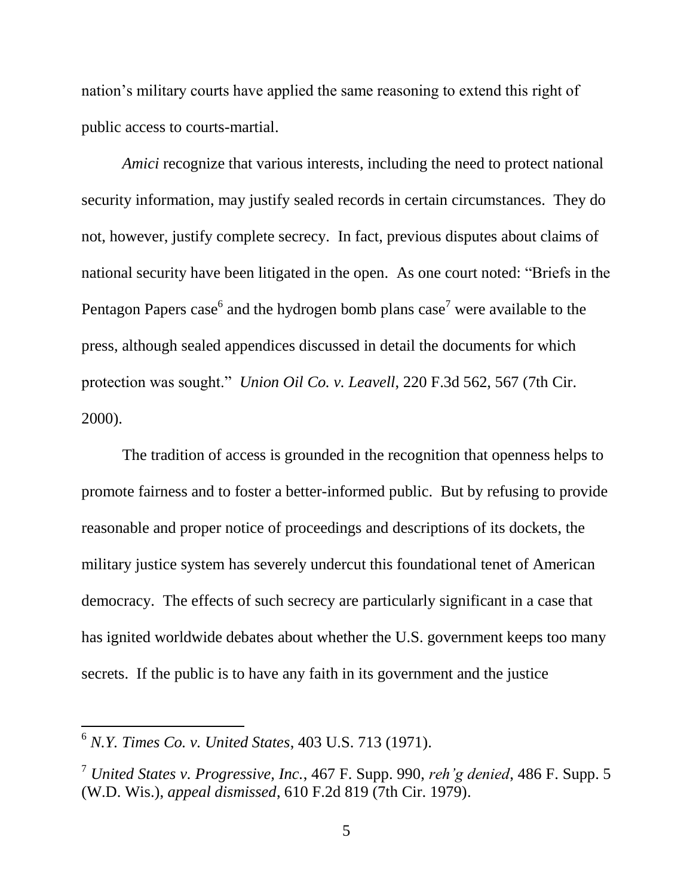nation's military courts have applied the same reasoning to extend this right of public access to courts-martial.

*Amici* recognize that various interests, including the need to protect national security information, may justify sealed records in certain circumstances. They do not, however, justify complete secrecy. In fact, previous disputes about claims of national security have been litigated in the open. As one court noted: "Briefs in the Pentagon Papers case<sup>6</sup> and the hydrogen bomb plans case<sup>7</sup> were available to the press, although sealed appendices discussed in detail the documents for which protection was sought." *Union Oil Co. v. Leavell*, 220 F.3d 562, 567 (7th Cir. 2000).

The tradition of access is grounded in the recognition that openness helps to promote fairness and to foster a better-informed public. But by refusing to provide reasonable and proper notice of proceedings and descriptions of its dockets, the military justice system has severely undercut this foundational tenet of American democracy. The effects of such secrecy are particularly significant in a case that has ignited worldwide debates about whether the U.S. government keeps too many secrets. If the public is to have any faith in its government and the justice

<sup>6</sup> *N.Y. Times Co. v. United States*, 403 U.S. 713 (1971).

<sup>7</sup> *United States v. Progressive, Inc.*, 467 F. Supp. 990, *reh'g denied*, 486 F. Supp. 5 (W.D. Wis.), *appeal dismissed*, 610 F.2d 819 (7th Cir. 1979).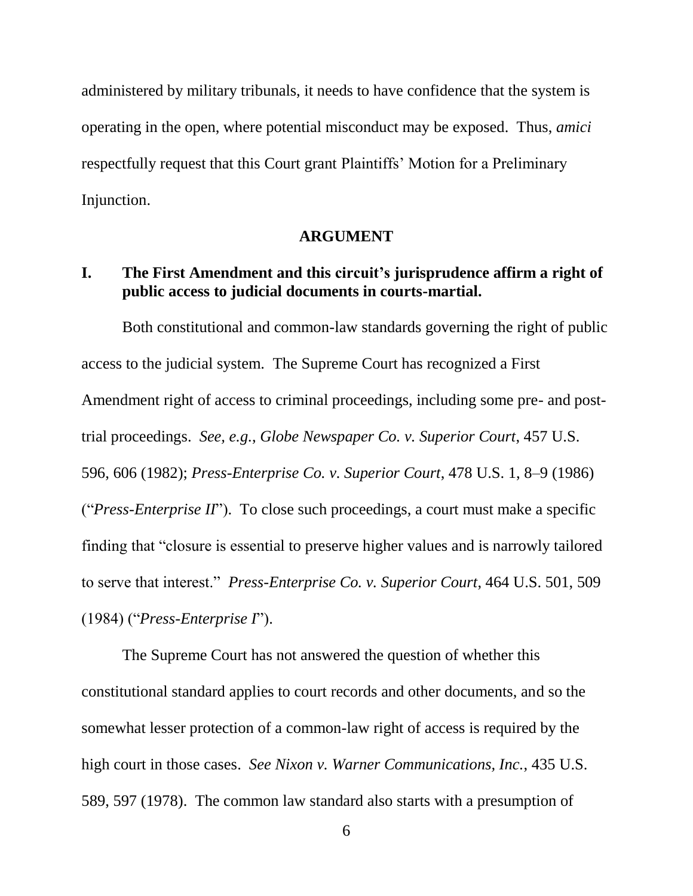administered by military tribunals, it needs to have confidence that the system is operating in the open, where potential misconduct may be exposed. Thus, *amici* respectfully request that this Court grant Plaintiffs' Motion for a Preliminary Injunction.

#### **ARGUMENT**

# **I. The First Amendment and this circuit's jurisprudence affirm a right of public access to judicial documents in courts-martial.**

Both constitutional and common-law standards governing the right of public access to the judicial system. The Supreme Court has recognized a First Amendment right of access to criminal proceedings, including some pre- and posttrial proceedings. *See, e.g.*, *Globe Newspaper Co. v. Superior Court*, 457 U.S. 596, 606 (1982); *Press-Enterprise Co. v. Superior Court*, 478 U.S. 1, 8–9 (1986) ("*Press-Enterprise II*"). To close such proceedings, a court must make a specific finding that "closure is essential to preserve higher values and is narrowly tailored to serve that interest." *Press-Enterprise Co. v. Superior Court*, 464 U.S. 501, 509 (1984) ("*Press-Enterprise I*").

The Supreme Court has not answered the question of whether this constitutional standard applies to court records and other documents, and so the somewhat lesser protection of a common-law right of access is required by the high court in those cases. *See Nixon v. Warner Communications, Inc.*, 435 U.S. 589, 597 (1978). The common law standard also starts with a presumption of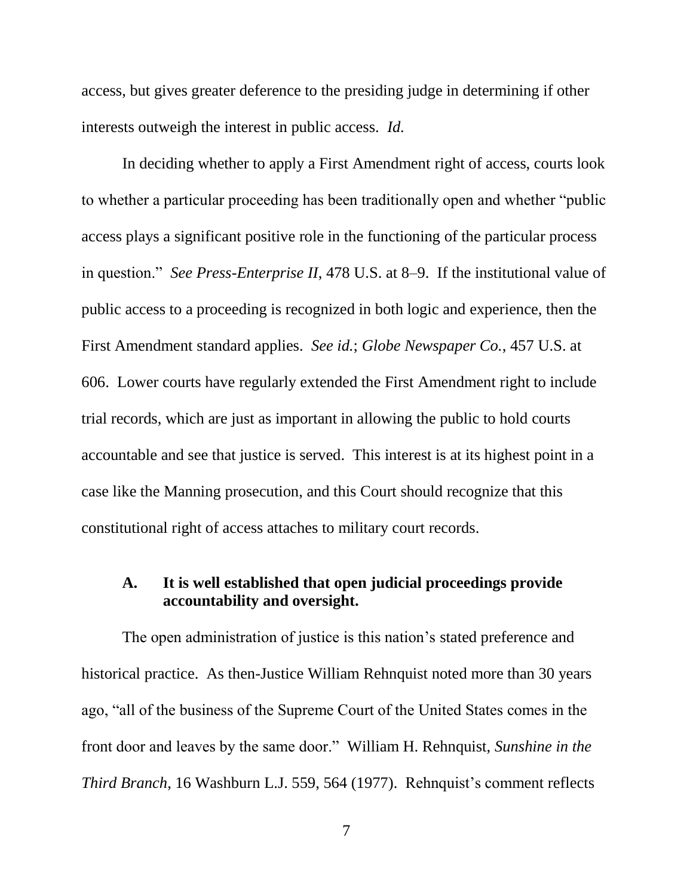access, but gives greater deference to the presiding judge in determining if other interests outweigh the interest in public access. *Id.*

In deciding whether to apply a First Amendment right of access, courts look to whether a particular proceeding has been traditionally open and whether "public access plays a significant positive role in the functioning of the particular process in question." *See Press-Enterprise II*, 478 U.S. at 8–9. If the institutional value of public access to a proceeding is recognized in both logic and experience, then the First Amendment standard applies. *See id.*; *Globe Newspaper Co.*, 457 U.S. at 606. Lower courts have regularly extended the First Amendment right to include trial records, which are just as important in allowing the public to hold courts accountable and see that justice is served. This interest is at its highest point in a case like the Manning prosecution, and this Court should recognize that this constitutional right of access attaches to military court records.

### **A. It is well established that open judicial proceedings provide accountability and oversight.**

The open administration of justice is this nation's stated preference and historical practice. As then-Justice William Rehnquist noted more than 30 years ago, "all of the business of the Supreme Court of the United States comes in the front door and leaves by the same door." William H. Rehnquist, *Sunshine in the Third Branch*, 16 Washburn L.J. 559, 564 (1977). Rehnquist's comment reflects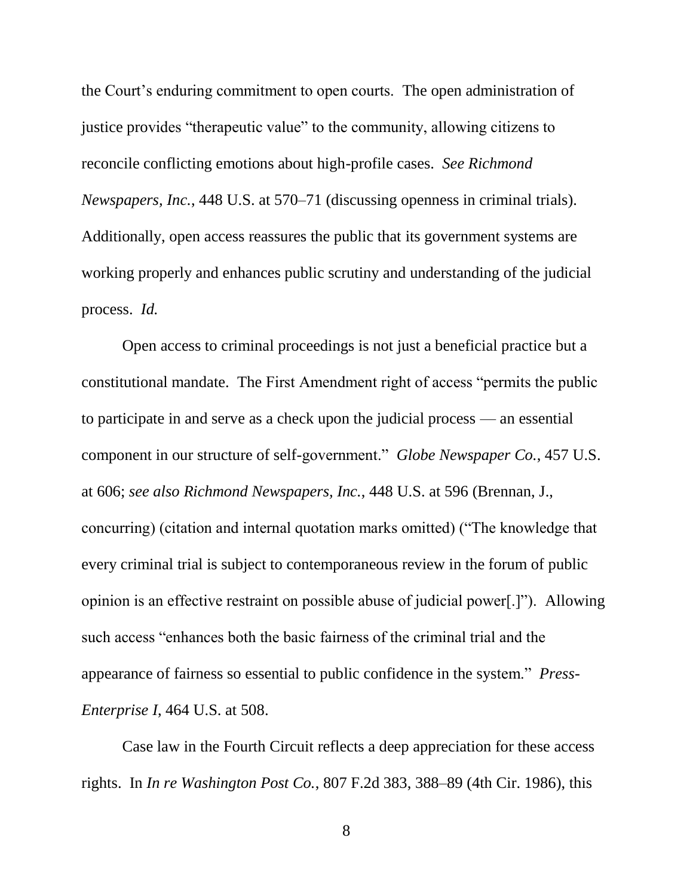the Court's enduring commitment to open courts. The open administration of justice provides "therapeutic value" to the community, allowing citizens to reconcile conflicting emotions about high-profile cases. *See Richmond Newspapers, Inc.*, 448 U.S. at 570–71 (discussing openness in criminal trials). Additionally, open access reassures the public that its government systems are working properly and enhances public scrutiny and understanding of the judicial process. *Id.*

Open access to criminal proceedings is not just a beneficial practice but a constitutional mandate. The First Amendment right of access "permits the public to participate in and serve as a check upon the judicial process — an essential component in our structure of self-government." *Globe Newspaper Co.*, 457 U.S. at 606; *see also Richmond Newspapers, Inc.*, 448 U.S. at 596 (Brennan, J., concurring) (citation and internal quotation marks omitted) ("The knowledge that every criminal trial is subject to contemporaneous review in the forum of public opinion is an effective restraint on possible abuse of judicial power[.]"). Allowing such access "enhances both the basic fairness of the criminal trial and the appearance of fairness so essential to public confidence in the system." *Press-Enterprise I*, 464 U.S. at 508.

Case law in the Fourth Circuit reflects a deep appreciation for these access rights. In *In re Washington Post Co.*, 807 F.2d 383, 388–89 (4th Cir. 1986), this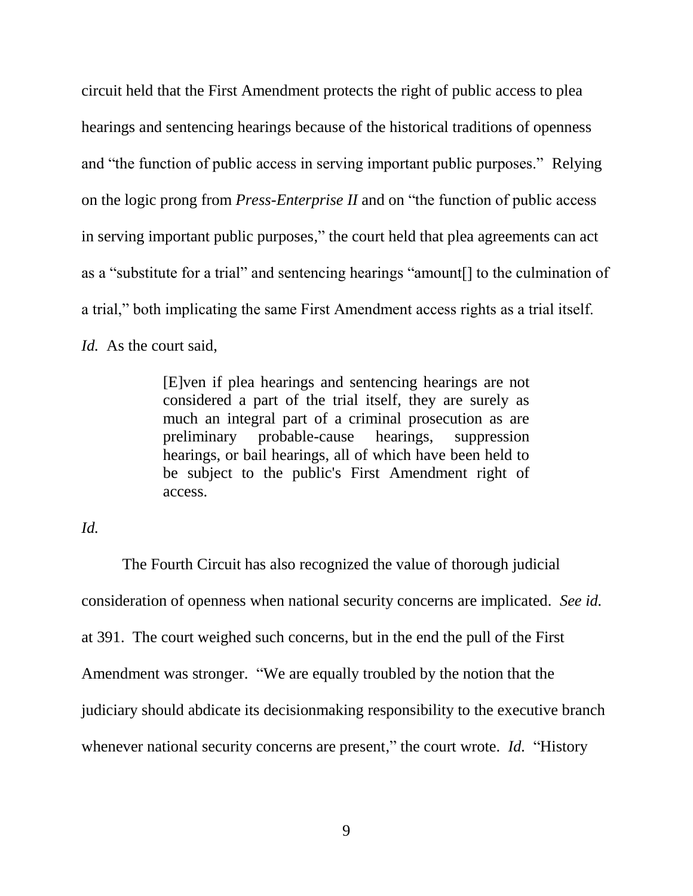circuit held that the First Amendment protects the right of public access to plea hearings and sentencing hearings because of the historical traditions of openness and "the function of public access in serving important public purposes." Relying on the logic prong from *Press-Enterprise II* and on "the function of public access in serving important public purposes," the court held that plea agreements can act as a "substitute for a trial" and sentencing hearings "amount[] to the culmination of a trial," both implicating the same First Amendment access rights as a trial itself. *Id.* As the court said,

> [E]ven if plea hearings and sentencing hearings are not considered a part of the trial itself, they are surely as much an integral part of a criminal prosecution as are preliminary probable-cause hearings, suppression hearings, or bail hearings, all of which have been held to be subject to the public's First Amendment right of access.

#### *Id.*

The Fourth Circuit has also recognized the value of thorough judicial consideration of openness when national security concerns are implicated. *See id.* at 391. The court weighed such concerns, but in the end the pull of the First Amendment was stronger. "We are equally troubled by the notion that the judiciary should abdicate its decisionmaking responsibility to the executive branch whenever national security concerns are present," the court wrote. *Id.* "History"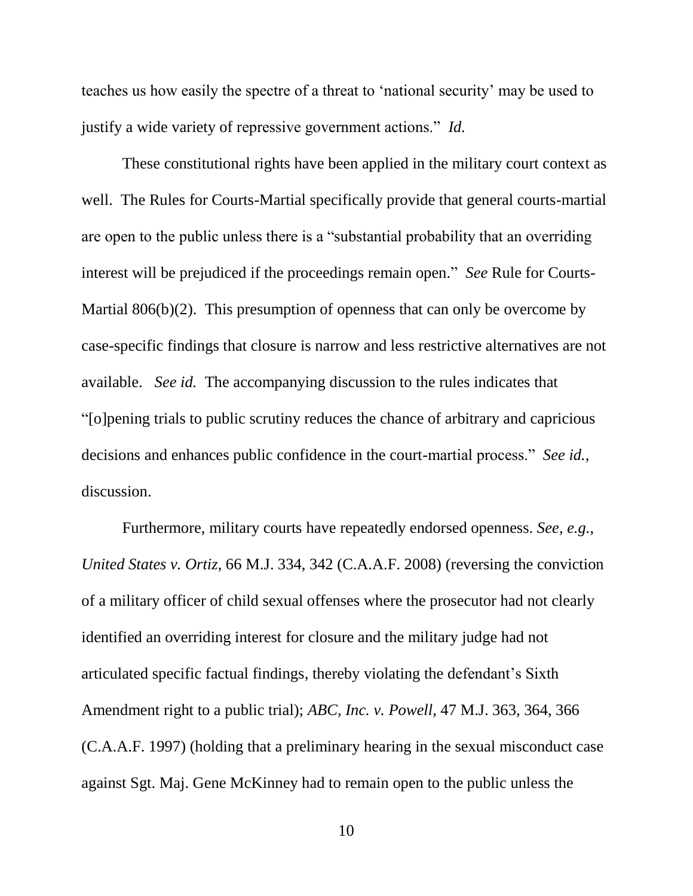teaches us how easily the spectre of a threat to 'national security' may be used to justify a wide variety of repressive government actions." *Id.*

These constitutional rights have been applied in the military court context as well. The Rules for Courts-Martial specifically provide that general courts-martial are open to the public unless there is a "substantial probability that an overriding interest will be prejudiced if the proceedings remain open." *See* Rule for Courts-Martial 806(b)(2). This presumption of openness that can only be overcome by case-specific findings that closure is narrow and less restrictive alternatives are not available. *See id.* The accompanying discussion to the rules indicates that "[o]pening trials to public scrutiny reduces the chance of arbitrary and capricious decisions and enhances public confidence in the court-martial process." *See id.*, discussion.

Furthermore, military courts have repeatedly endorsed openness. *See, e.g.*, *United States v. Ortiz*, 66 M.J. 334, 342 (C.A.A.F. 2008) (reversing the conviction of a military officer of child sexual offenses where the prosecutor had not clearly identified an overriding interest for closure and the military judge had not articulated specific factual findings, thereby violating the defendant's Sixth Amendment right to a public trial); *ABC, Inc. v. Powell*, 47 M.J. 363, 364, 366 (C.A.A.F. 1997) (holding that a preliminary hearing in the sexual misconduct case against Sgt. Maj. Gene McKinney had to remain open to the public unless the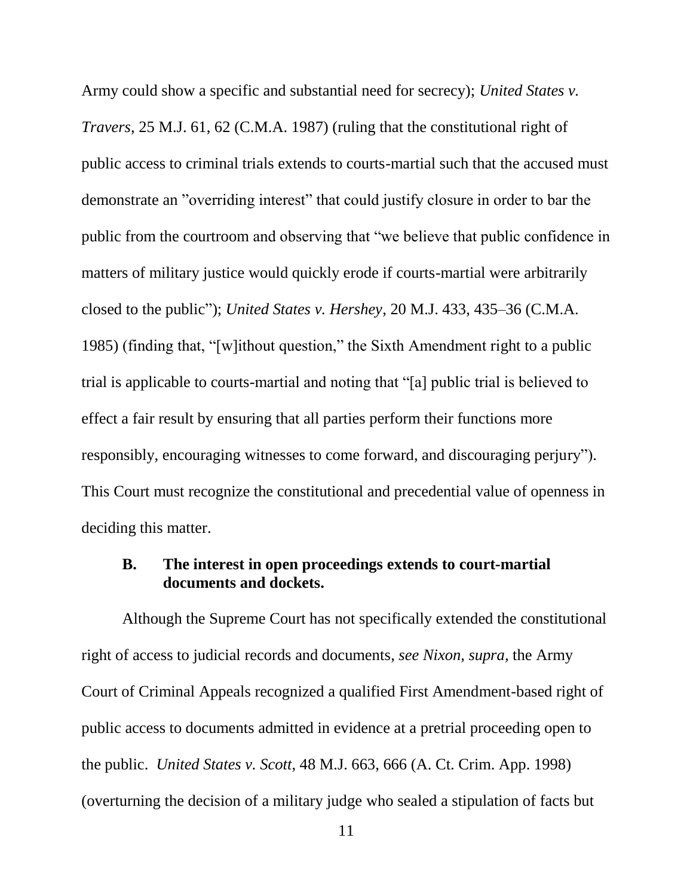Army could show a specific and substantial need for secrecy); *United States v. Travers*, 25 M.J. 61, 62 (C.M.A. 1987) (ruling that the constitutional right of public access to criminal trials extends to courts-martial such that the accused must demonstrate an "overriding interest" that could justify closure in order to bar the public from the courtroom and observing that "we believe that public confidence in matters of military justice would quickly erode if courts-martial were arbitrarily closed to the public"); *United States v. Hershey*, 20 M.J. 433, 435–36 (C.M.A. 1985) (finding that, "[w]ithout question," the Sixth Amendment right to a public trial is applicable to courts-martial and noting that "[a] public trial is believed to effect a fair result by ensuring that all parties perform their functions more responsibly, encouraging witnesses to come forward, and discouraging perjury"). This Court must recognize the constitutional and precedential value of openness in deciding this matter.

### **B. The interest in open proceedings extends to court-martial documents and dockets.**

Although the Supreme Court has not specifically extended the constitutional right of access to judicial records and documents, *see Nixon, supra,* the Army Court of Criminal Appeals recognized a qualified First Amendment-based right of public access to documents admitted in evidence at a pretrial proceeding open to the public. *United States v. Scott*, 48 M.J. 663, 666 (A. Ct. Crim. App. 1998) (overturning the decision of a military judge who sealed a stipulation of facts but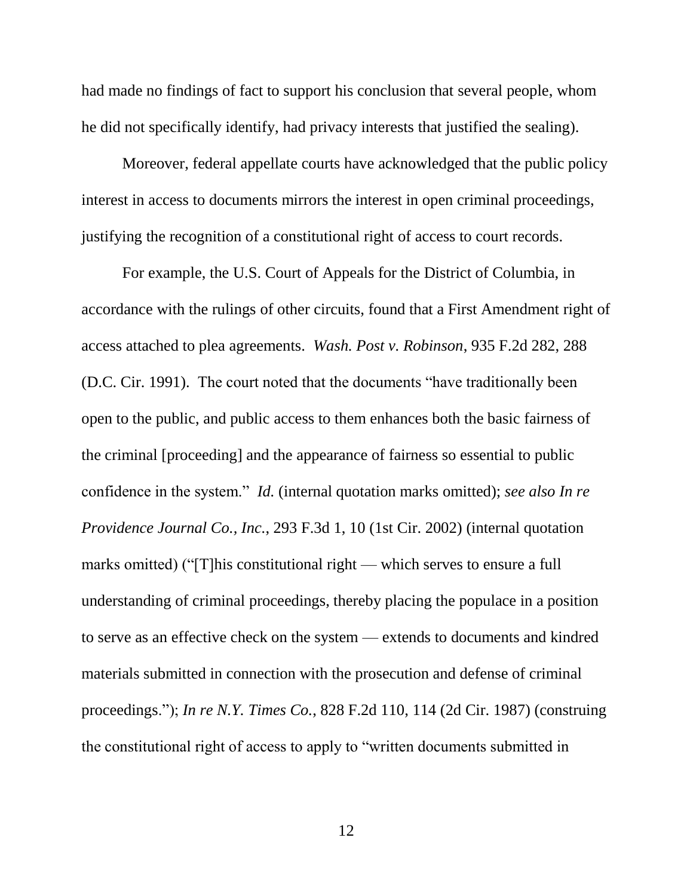had made no findings of fact to support his conclusion that several people, whom he did not specifically identify, had privacy interests that justified the sealing).

Moreover, federal appellate courts have acknowledged that the public policy interest in access to documents mirrors the interest in open criminal proceedings, justifying the recognition of a constitutional right of access to court records.

For example, the U.S. Court of Appeals for the District of Columbia, in accordance with the rulings of other circuits, found that a First Amendment right of access attached to plea agreements. *Wash. Post v. Robinson*, 935 F.2d 282, 288 (D.C. Cir. 1991). The court noted that the documents "have traditionally been open to the public, and public access to them enhances both the basic fairness of the criminal [proceeding] and the appearance of fairness so essential to public confidence in the system." *Id.* (internal quotation marks omitted); *see also In re Providence Journal Co., Inc.*, 293 F.3d 1, 10 (1st Cir. 2002) (internal quotation marks omitted) ("[T]his constitutional right — which serves to ensure a full understanding of criminal proceedings, thereby placing the populace in a position to serve as an effective check on the system — extends to documents and kindred materials submitted in connection with the prosecution and defense of criminal proceedings."); *In re N.Y. Times Co.*, 828 F.2d 110, 114 (2d Cir. 1987) (construing the constitutional right of access to apply to "written documents submitted in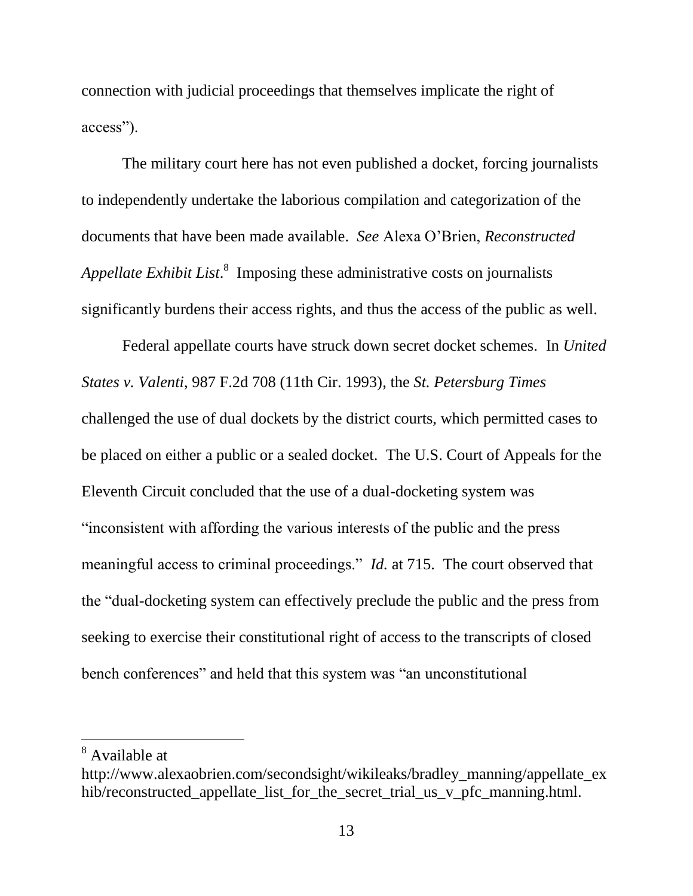connection with judicial proceedings that themselves implicate the right of access").

The military court here has not even published a docket, forcing journalists to independently undertake the laborious compilation and categorization of the documents that have been made available. *See* Alexa O'Brien, *Reconstructed Appellate Exhibit List*. 8 Imposing these administrative costs on journalists significantly burdens their access rights, and thus the access of the public as well.

Federal appellate courts have struck down secret docket schemes. In *United States v. Valenti*, 987 F.2d 708 (11th Cir. 1993), the *St. Petersburg Times* challenged the use of dual dockets by the district courts, which permitted cases to be placed on either a public or a sealed docket. The U.S. Court of Appeals for the Eleventh Circuit concluded that the use of a dual-docketing system was "inconsistent with affording the various interests of the public and the press meaningful access to criminal proceedings." *Id.* at 715. The court observed that the "dual-docketing system can effectively preclude the public and the press from seeking to exercise their constitutional right of access to the transcripts of closed bench conferences" and held that this system was "an unconstitutional

<sup>8</sup> Available at

http://www.alexaobrien.com/secondsight/wikileaks/bradley\_manning/appellate\_ex hib/reconstructed\_appellate\_list\_for\_the\_secret\_trial\_us\_v\_pfc\_manning.html.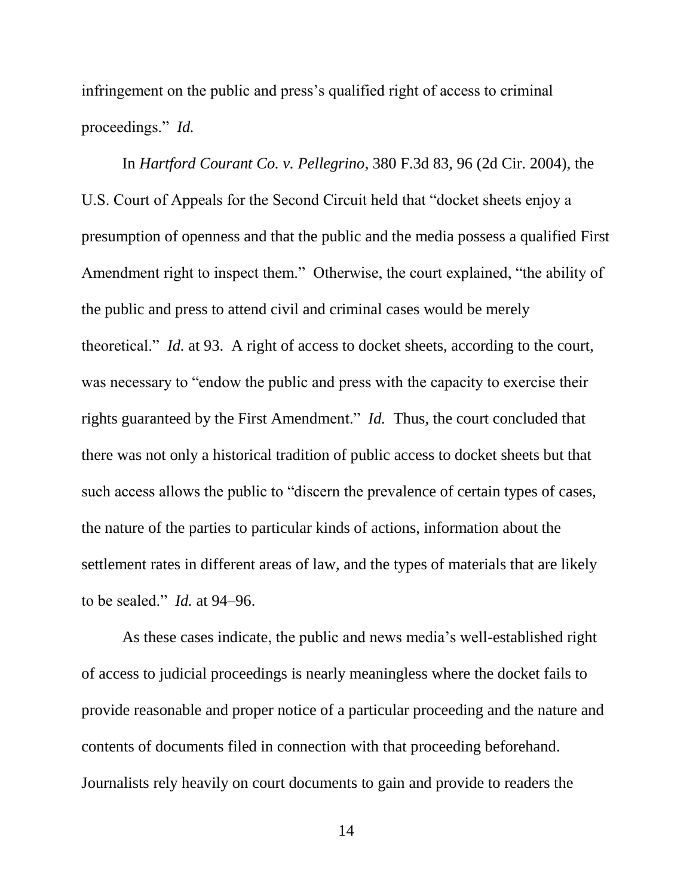infringement on the public and press's qualified right of access to criminal proceedings." *Id.*

In *Hartford Courant Co. v. Pellegrino*, 380 F.3d 83, 96 (2d Cir. 2004), the U.S. Court of Appeals for the Second Circuit held that "docket sheets enjoy a presumption of openness and that the public and the media possess a qualified First Amendment right to inspect them." Otherwise, the court explained, "the ability of the public and press to attend civil and criminal cases would be merely theoretical." *Id.* at 93. A right of access to docket sheets, according to the court, was necessary to "endow the public and press with the capacity to exercise their rights guaranteed by the First Amendment." *Id.* Thus, the court concluded that there was not only a historical tradition of public access to docket sheets but that such access allows the public to "discern the prevalence of certain types of cases, the nature of the parties to particular kinds of actions, information about the settlement rates in different areas of law, and the types of materials that are likely to be sealed." *Id.* at 94–96.

As these cases indicate, the public and news media's well-established right of access to judicial proceedings is nearly meaningless where the docket fails to provide reasonable and proper notice of a particular proceeding and the nature and contents of documents filed in connection with that proceeding beforehand. Journalists rely heavily on court documents to gain and provide to readers the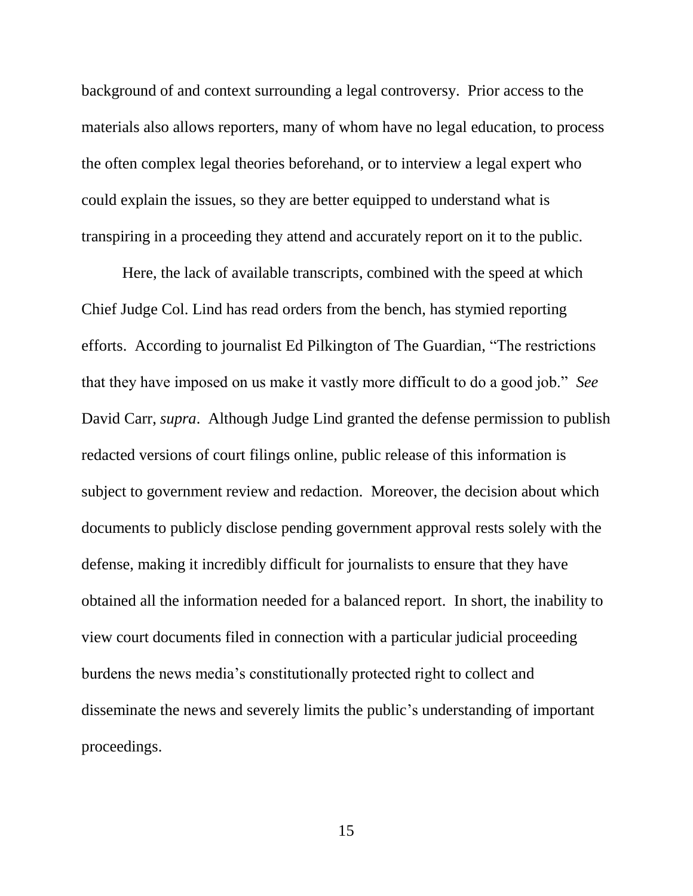background of and context surrounding a legal controversy. Prior access to the materials also allows reporters, many of whom have no legal education, to process the often complex legal theories beforehand, or to interview a legal expert who could explain the issues, so they are better equipped to understand what is transpiring in a proceeding they attend and accurately report on it to the public.

Here, the lack of available transcripts, combined with the speed at which Chief Judge Col. Lind has read orders from the bench, has stymied reporting efforts. According to journalist Ed Pilkington of The Guardian, "The restrictions that they have imposed on us make it vastly more difficult to do a good job." *See*  David Carr, *supra*. Although Judge Lind granted the defense permission to publish redacted versions of court filings online, public release of this information is subject to government review and redaction. Moreover, the decision about which documents to publicly disclose pending government approval rests solely with the defense, making it incredibly difficult for journalists to ensure that they have obtained all the information needed for a balanced report. In short, the inability to view court documents filed in connection with a particular judicial proceeding burdens the news media's constitutionally protected right to collect and disseminate the news and severely limits the public's understanding of important proceedings.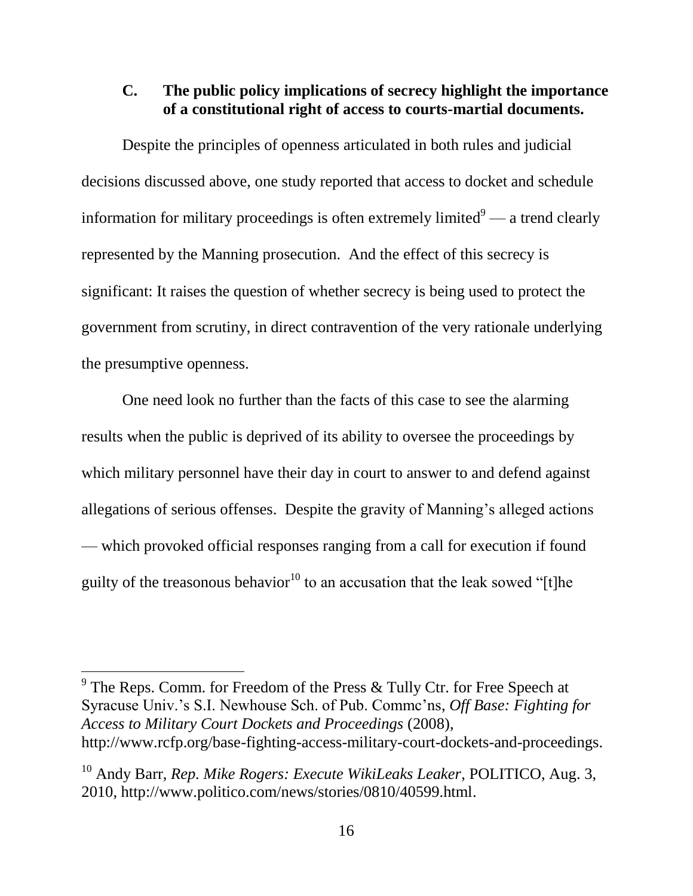### **C. The public policy implications of secrecy highlight the importance of a constitutional right of access to courts-martial documents.**

Despite the principles of openness articulated in both rules and judicial decisions discussed above, one study reported that access to docket and schedule information for military proceedings is often extremely limited  $\alpha^9$  — a trend clearly represented by the Manning prosecution. And the effect of this secrecy is significant: It raises the question of whether secrecy is being used to protect the government from scrutiny, in direct contravention of the very rationale underlying the presumptive openness.

One need look no further than the facts of this case to see the alarming results when the public is deprived of its ability to oversee the proceedings by which military personnel have their day in court to answer to and defend against allegations of serious offenses. Despite the gravity of Manning's alleged actions — which provoked official responses ranging from a call for execution if found guilty of the treasonous behavior<sup>10</sup> to an accusation that the leak sowed "[t]he

<sup>9</sup> The Reps. Comm. for Freedom of the Press & Tully Ctr. for Free Speech at Syracuse Univ.'s S.I. Newhouse Sch. of Pub. Commc'ns, *Off Base: Fighting for Access to Military Court Dockets and Proceedings* (2008), http://www.rcfp.org/base-fighting-access-military-court-dockets-and-proceedings.

<sup>10</sup> Andy Barr, *Rep. Mike Rogers: Execute WikiLeaks Leaker*, POLITICO, Aug. 3, 2010, http://www.politico.com/news/stories/0810/40599.html.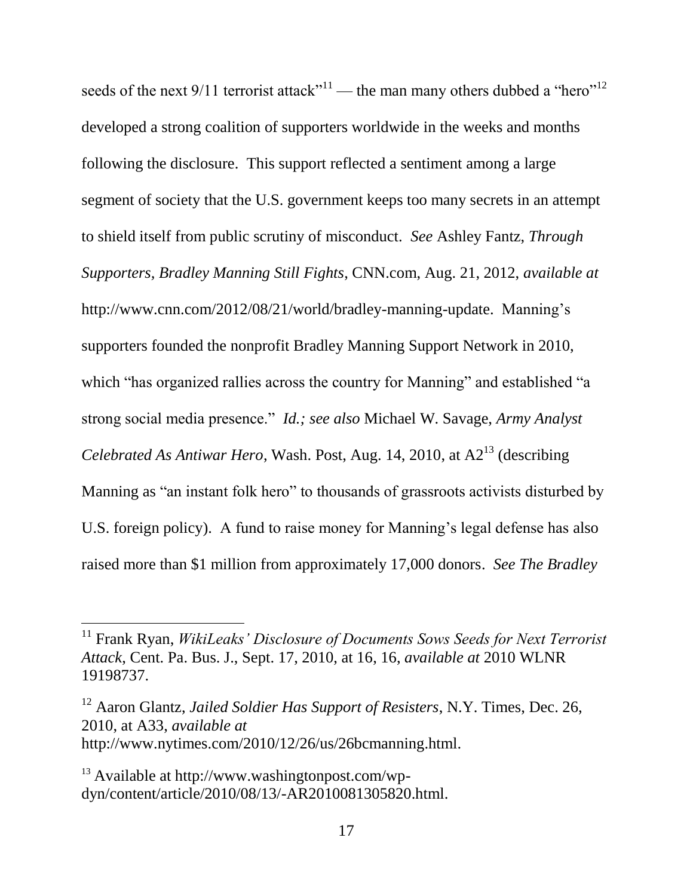seeds of the next 9/11 terrorist attack"<sup>11</sup> — the man many others dubbed a "hero"<sup>12</sup> developed a strong coalition of supporters worldwide in the weeks and months following the disclosure. This support reflected a sentiment among a large segment of society that the U.S. government keeps too many secrets in an attempt to shield itself from public scrutiny of misconduct. *See* Ashley Fantz, *Through Supporters, Bradley Manning Still Fights*, CNN.com, Aug. 21, 2012, *available at* http://www.cnn.com/2012/08/21/world/bradley-manning-update. Manning's supporters founded the nonprofit Bradley Manning Support Network in 2010, which "has organized rallies across the country for Manning" and established "a strong social media presence." *Id.; see also* Michael W. Savage, *Army Analyst Celebrated As Antiwar Hero*, Wash. Post, Aug. 14, 2010, at  $A2^{13}$  (describing Manning as "an instant folk hero" to thousands of grassroots activists disturbed by U.S. foreign policy). A fund to raise money for Manning's legal defense has also raised more than \$1 million from approximately 17,000 donors. *See The Bradley* 

<sup>&</sup>lt;sup>11</sup> Frank Ryan, *WikiLeaks' Disclosure of Documents Sows Seeds for Next Terrorist Attack*, Cent. Pa. Bus. J., Sept. 17, 2010, at 16, 16, *available at* 2010 WLNR 19198737.

<sup>12</sup> Aaron Glantz, *Jailed Soldier Has Support of Resisters*, N.Y. Times, Dec. 26, 2010, at A33, *available at* http://www.nytimes.com/2010/12/26/us/26bcmanning.html.

<sup>13</sup> Available at http://www.washingtonpost.com/wpdyn/content/article/2010/08/13/-AR2010081305820.html.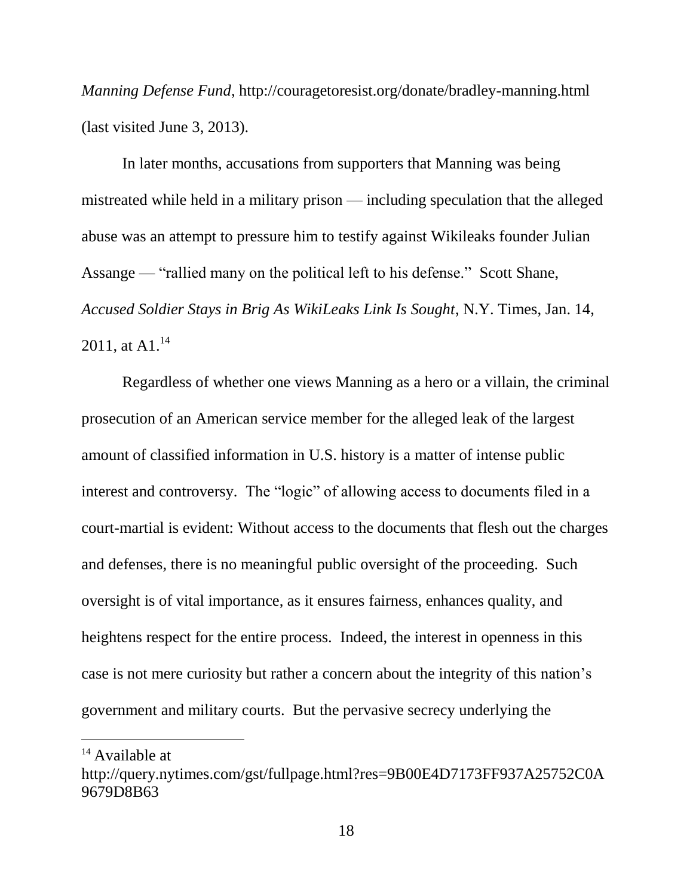*Manning Defense Fund*, http://couragetoresist.org/donate/bradley-manning.html (last visited June 3, 2013).

In later months, accusations from supporters that Manning was being mistreated while held in a military prison — including speculation that the alleged abuse was an attempt to pressure him to testify against Wikileaks founder Julian Assange — "rallied many on the political left to his defense." Scott Shane, *Accused Soldier Stays in Brig As WikiLeaks Link Is Sought*, N.Y. Times, Jan. 14, 2011, at A1. $^{14}$ 

Regardless of whether one views Manning as a hero or a villain, the criminal prosecution of an American service member for the alleged leak of the largest amount of classified information in U.S. history is a matter of intense public interest and controversy. The "logic" of allowing access to documents filed in a court-martial is evident: Without access to the documents that flesh out the charges and defenses, there is no meaningful public oversight of the proceeding. Such oversight is of vital importance, as it ensures fairness, enhances quality, and heightens respect for the entire process. Indeed, the interest in openness in this case is not mere curiosity but rather a concern about the integrity of this nation's government and military courts. But the pervasive secrecy underlying the

<sup>&</sup>lt;sup>14</sup> Available at

http://query.nytimes.com/gst/fullpage.html?res=9B00E4D7173FF937A25752C0A 9679D8B63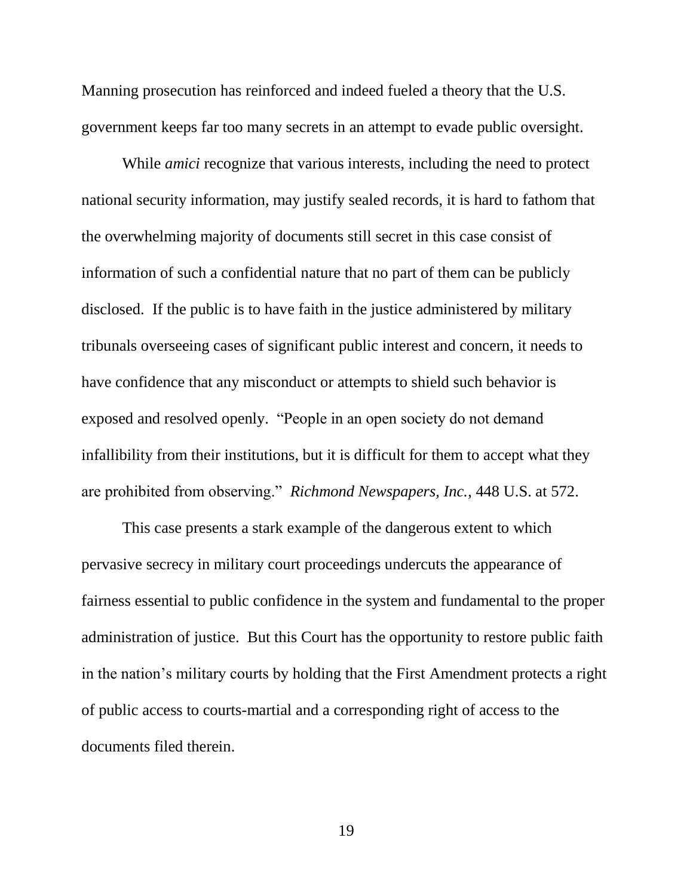Manning prosecution has reinforced and indeed fueled a theory that the U.S. government keeps far too many secrets in an attempt to evade public oversight.

While *amici* recognize that various interests, including the need to protect national security information, may justify sealed records, it is hard to fathom that the overwhelming majority of documents still secret in this case consist of information of such a confidential nature that no part of them can be publicly disclosed. If the public is to have faith in the justice administered by military tribunals overseeing cases of significant public interest and concern, it needs to have confidence that any misconduct or attempts to shield such behavior is exposed and resolved openly. "People in an open society do not demand infallibility from their institutions, but it is difficult for them to accept what they are prohibited from observing." *Richmond Newspapers, Inc.*, 448 U.S. at 572.

This case presents a stark example of the dangerous extent to which pervasive secrecy in military court proceedings undercuts the appearance of fairness essential to public confidence in the system and fundamental to the proper administration of justice. But this Court has the opportunity to restore public faith in the nation's military courts by holding that the First Amendment protects a right of public access to courts-martial and a corresponding right of access to the documents filed therein.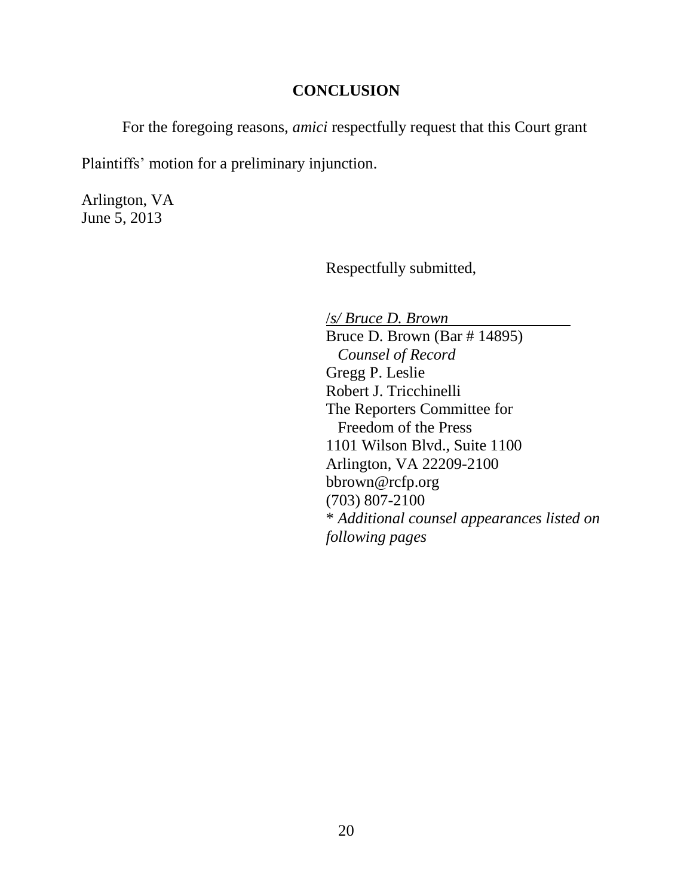#### **CONCLUSION**

For the foregoing reasons, *amici* respectfully request that this Court grant

Plaintiffs' motion for a preliminary injunction.

Arlington, VA June 5, 2013

Respectfully submitted,

/*s/ Bruce D. Brown* Bruce D. Brown (Bar # 14895) *Counsel of Record* Gregg P. Leslie Robert J. Tricchinelli The Reporters Committee for Freedom of the Press 1101 Wilson Blvd., Suite 1100 Arlington, VA 22209-2100 bbrown@rcfp.org (703) 807-2100 \* *Additional counsel appearances listed on following pages*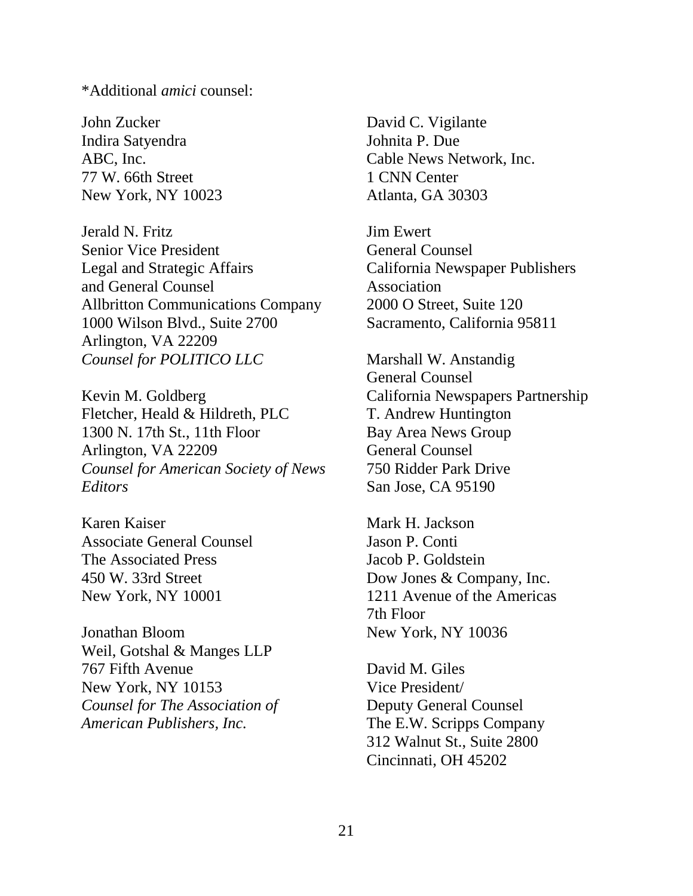\*Additional *amici* counsel:

John Zucker Indira Satyendra ABC, Inc. 77 W. 66th Street New York, NY 10023

Jerald N. Fritz Senior Vice President Legal and Strategic Affairs and General Counsel Allbritton Communications Company 1000 Wilson Blvd., Suite 2700 Arlington, VA 22209 *Counsel for POLITICO LLC*

Kevin M. Goldberg Fletcher, Heald & Hildreth, PLC 1300 N. 17th St., 11th Floor Arlington, VA 22209 *Counsel for American Society of News Editors*

Karen Kaiser Associate General Counsel The Associated Press 450 W. 33rd Street New York, NY 10001

Jonathan Bloom Weil, Gotshal & Manges LLP 767 Fifth Avenue New York, NY 10153 *Counsel for The Association of American Publishers, Inc.*

David C. Vigilante Johnita P. Due Cable News Network, Inc. 1 CNN Center Atlanta, GA 30303

Jim Ewert General Counsel California Newspaper Publishers Association 2000 O Street, Suite 120 Sacramento, California 95811

Marshall W. Anstandig General Counsel California Newspapers Partnership T. Andrew Huntington Bay Area News Group General Counsel 750 Ridder Park Drive San Jose, CA 95190

Mark H. Jackson Jason P. Conti Jacob P. Goldstein Dow Jones & Company, Inc. 1211 Avenue of the Americas 7th Floor New York, NY 10036

David M. Giles Vice President/ Deputy General Counsel The E.W. Scripps Company 312 Walnut St., Suite 2800 Cincinnati, OH 45202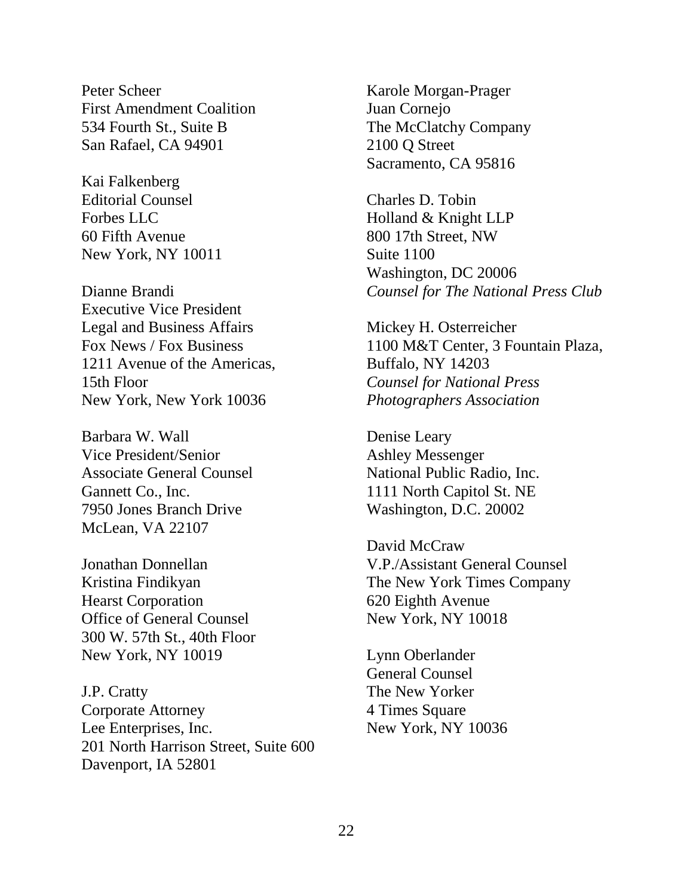Peter Scheer First Amendment Coalition 534 Fourth St., Suite B San Rafael, CA 94901

Kai Falkenberg Editorial Counsel Forbes LLC 60 Fifth Avenue New York, NY 10011

Dianne Brandi Executive Vice President Legal and Business Affairs Fox News / Fox Business 1211 Avenue of the Americas, 15th Floor New York, New York 10036

Barbara W. Wall Vice President/Senior Associate General Counsel Gannett Co., Inc. 7950 Jones Branch Drive McLean, VA 22107

Jonathan Donnellan Kristina Findikyan Hearst Corporation Office of General Counsel 300 W. 57th St., 40th Floor New York, NY 10019

J.P. Cratty Corporate Attorney Lee Enterprises, Inc. 201 North Harrison Street, Suite 600 Davenport, IA 52801

Karole Morgan-Prager Juan Cornejo The McClatchy Company 2100 Q Street Sacramento, CA 95816

Charles D. Tobin Holland & Knight LLP 800 17th Street, NW Suite 1100 Washington, DC 20006 *Counsel for The National Press Club*

Mickey H. Osterreicher 1100 M&T Center, 3 Fountain Plaza, Buffalo, NY 14203 *Counsel for National Press Photographers Association*

Denise Leary Ashley Messenger National Public Radio, Inc. 1111 North Capitol St. NE Washington, D.C. 20002

David McCraw V.P./Assistant General Counsel The New York Times Company 620 Eighth Avenue New York, NY 10018

Lynn Oberlander General Counsel The New Yorker 4 Times Square New York, NY 10036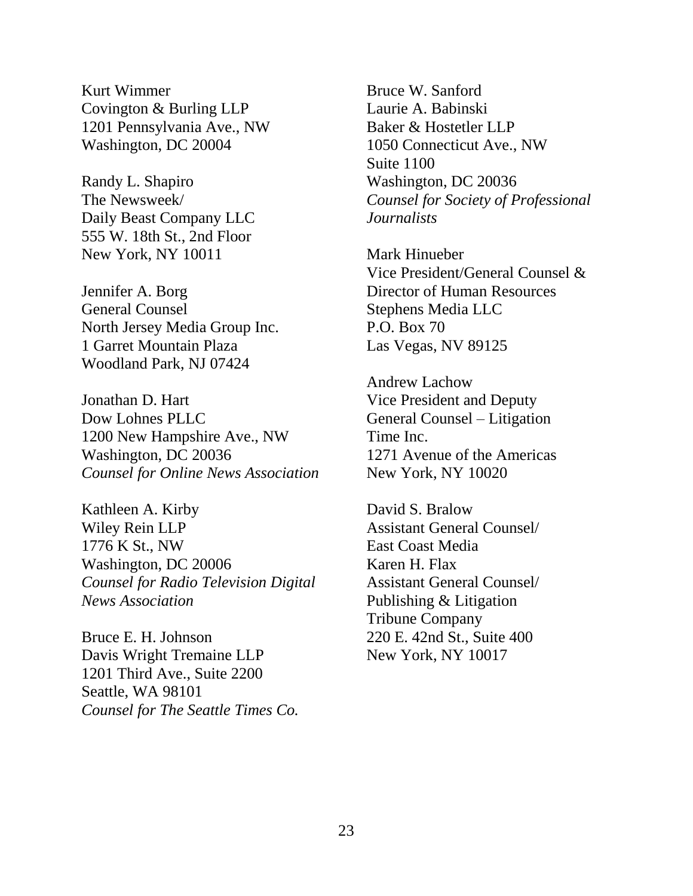Kurt Wimmer Covington & Burling LLP 1201 Pennsylvania Ave., NW Washington, DC 20004

Randy L. Shapiro The Newsweek/ Daily Beast Company LLC 555 W. 18th St., 2nd Floor New York, NY 10011

Jennifer A. Borg General Counsel North Jersey Media Group Inc. 1 Garret Mountain Plaza Woodland Park, NJ 07424

Jonathan D. Hart Dow Lohnes PLLC 1200 New Hampshire Ave., NW Washington, DC 20036 *Counsel for Online News Association*

Kathleen A. Kirby Wiley Rein LLP 1776 K St., NW Washington, DC 20006 *Counsel for Radio Television Digital News Association*

Bruce E. H. Johnson Davis Wright Tremaine LLP 1201 Third Ave., Suite 2200 Seattle, WA 98101 *Counsel for The Seattle Times Co.*

Bruce W. Sanford Laurie A. Babinski Baker & Hostetler LLP 1050 Connecticut Ave., NW Suite 1100 Washington, DC 20036 *Counsel for Society of Professional Journalists*

Mark Hinueber Vice President/General Counsel & Director of Human Resources Stephens Media LLC P.O. Box 70 Las Vegas, NV 89125

Andrew Lachow Vice President and Deputy General Counsel – Litigation Time Inc. 1271 Avenue of the Americas New York, NY 10020

David S. Bralow Assistant General Counsel/ East Coast Media Karen H. Flax Assistant General Counsel/ Publishing & Litigation Tribune Company 220 E. 42nd St., Suite 400 New York, NY 10017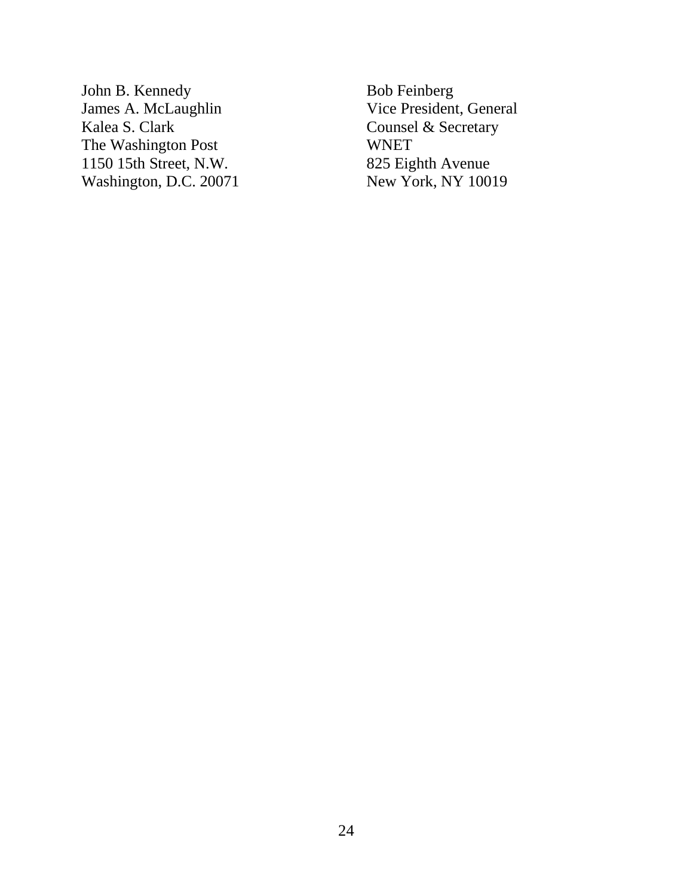John B. Kennedy James A. McLaughlin Kalea S. Clark The Washington Post 1150 15th Street, N.W. Washington, D.C. 20071

Bob Feinberg Vice President, General Counsel & Secretary WNET 825 Eighth Avenue New York, NY 10019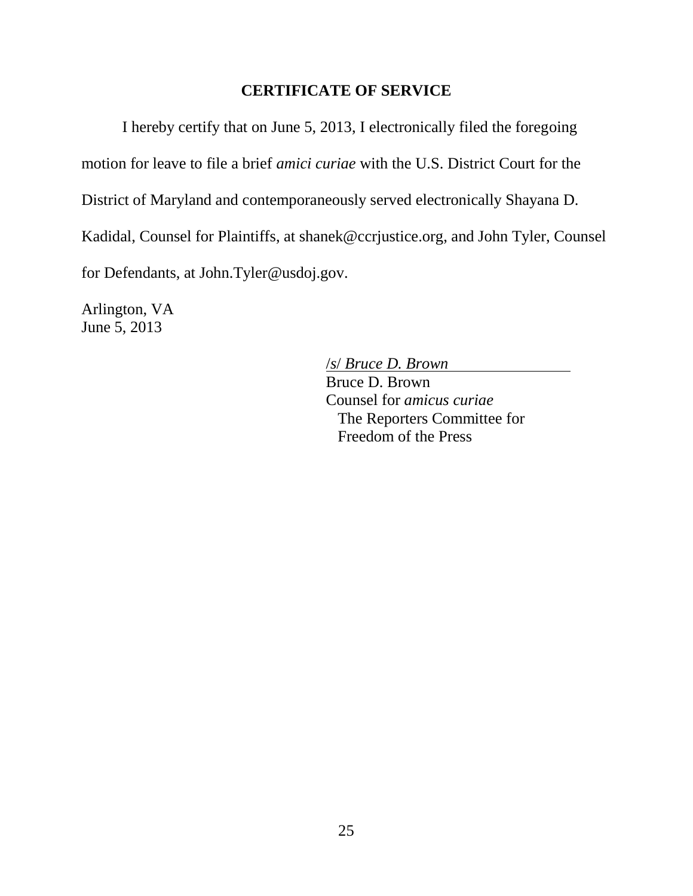# **CERTIFICATE OF SERVICE**

I hereby certify that on June 5, 2013, I electronically filed the foregoing motion for leave to file a brief *amici curiae* with the U.S. District Court for the District of Maryland and contemporaneously served electronically Shayana D. Kadidal, Counsel for Plaintiffs, at shanek@ccrjustice.org, and John Tyler, Counsel for Defendants, at John.Tyler@usdoj.gov.

Arlington, VA June 5, 2013

> /*s*/ *Bruce D. Brown* Bruce D. Brown Counsel for *amicus curiae* The Reporters Committee for Freedom of the Press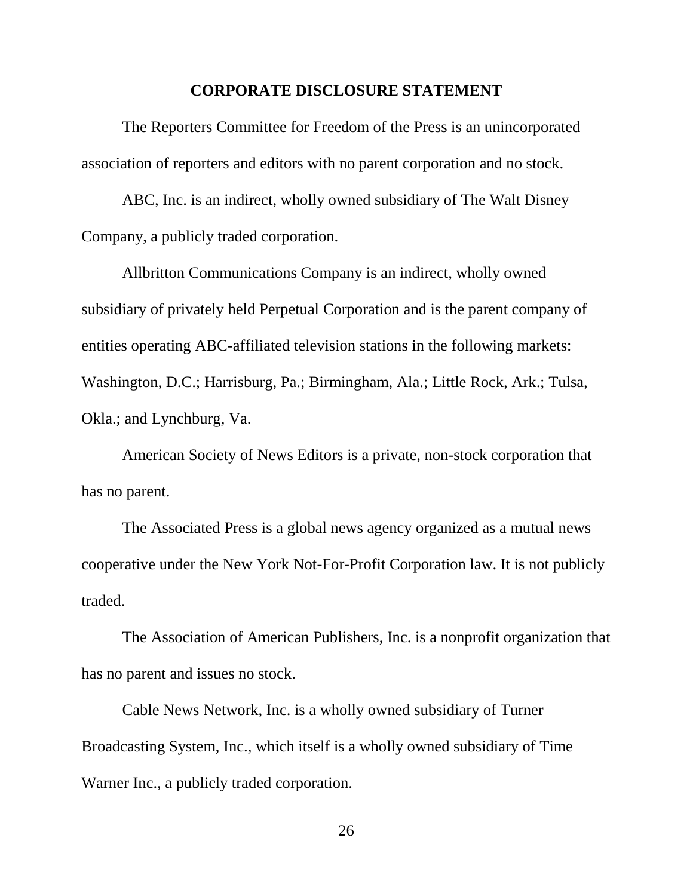#### **CORPORATE DISCLOSURE STATEMENT**

The Reporters Committee for Freedom of the Press is an unincorporated association of reporters and editors with no parent corporation and no stock.

ABC, Inc. is an indirect, wholly owned subsidiary of The Walt Disney Company, a publicly traded corporation.

Allbritton Communications Company is an indirect, wholly owned subsidiary of privately held Perpetual Corporation and is the parent company of entities operating ABC-affiliated television stations in the following markets: Washington, D.C.; Harrisburg, Pa.; Birmingham, Ala.; Little Rock, Ark.; Tulsa, Okla.; and Lynchburg, Va.

American Society of News Editors is a private, non-stock corporation that has no parent.

The Associated Press is a global news agency organized as a mutual news cooperative under the New York Not-For-Profit Corporation law. It is not publicly traded.

The Association of American Publishers, Inc. is a nonprofit organization that has no parent and issues no stock.

Cable News Network, Inc. is a wholly owned subsidiary of Turner Broadcasting System, Inc., which itself is a wholly owned subsidiary of Time Warner Inc., a publicly traded corporation.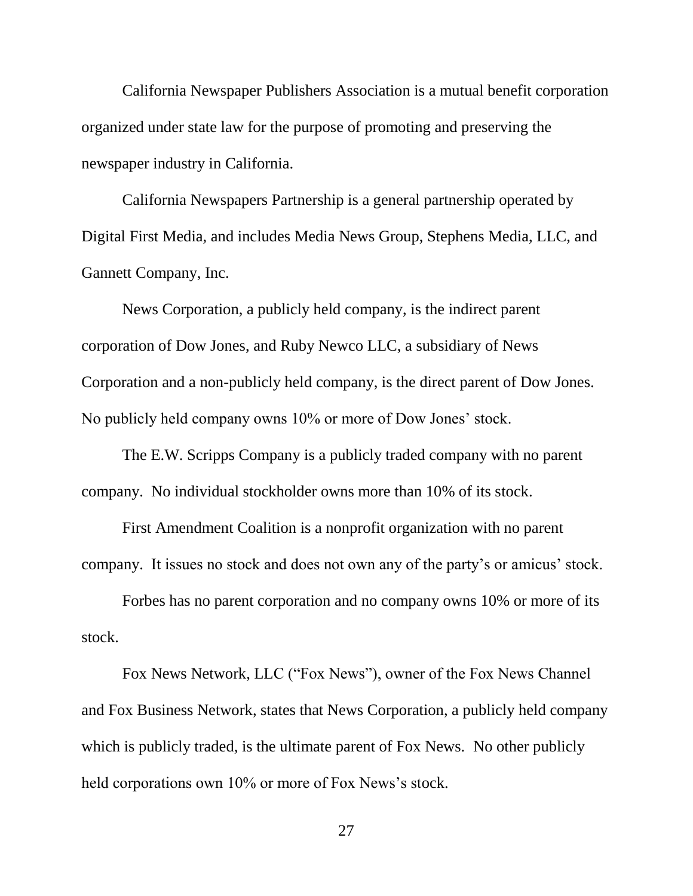California Newspaper Publishers Association is a mutual benefit corporation organized under state law for the purpose of promoting and preserving the newspaper industry in California.

California Newspapers Partnership is a general partnership operated by Digital First Media, and includes Media News Group, Stephens Media, LLC, and Gannett Company, Inc.

News Corporation, a publicly held company, is the indirect parent corporation of Dow Jones, and Ruby Newco LLC, a subsidiary of News Corporation and a non-publicly held company, is the direct parent of Dow Jones. No publicly held company owns 10% or more of Dow Jones' stock.

The E.W. Scripps Company is a publicly traded company with no parent company. No individual stockholder owns more than 10% of its stock.

First Amendment Coalition is a nonprofit organization with no parent company. It issues no stock and does not own any of the party's or amicus' stock.

Forbes has no parent corporation and no company owns 10% or more of its stock.

Fox News Network, LLC ("Fox News"), owner of the Fox News Channel and Fox Business Network, states that News Corporation, a publicly held company which is publicly traded, is the ultimate parent of Fox News. No other publicly held corporations own 10% or more of Fox News's stock.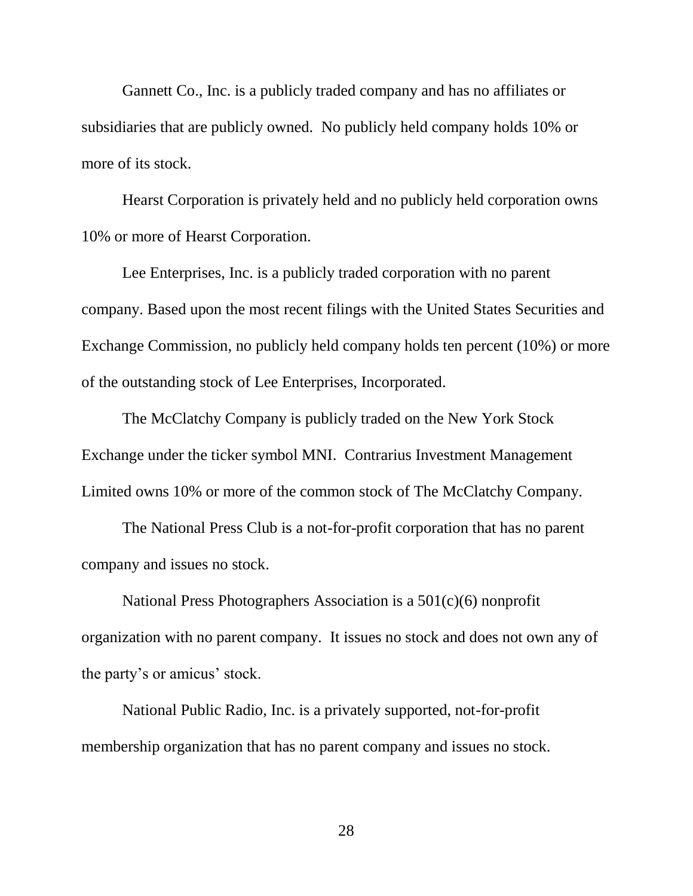Gannett Co., Inc. is a publicly traded company and has no affiliates or subsidiaries that are publicly owned. No publicly held company holds 10% or more of its stock.

Hearst Corporation is privately held and no publicly held corporation owns 10% or more of Hearst Corporation.

Lee Enterprises, Inc. is a publicly traded corporation with no parent company. Based upon the most recent filings with the United States Securities and Exchange Commission, no publicly held company holds ten percent (10%) or more of the outstanding stock of Lee Enterprises, Incorporated.

The McClatchy Company is publicly traded on the New York Stock Exchange under the ticker symbol MNI. Contrarius Investment Management Limited owns 10% or more of the common stock of The McClatchy Company.

The National Press Club is a not-for-profit corporation that has no parent company and issues no stock.

National Press Photographers Association is a 501(c)(6) nonprofit organization with no parent company. It issues no stock and does not own any of the party's or amicus' stock.

National Public Radio, Inc. is a privately supported, not-for-profit membership organization that has no parent company and issues no stock.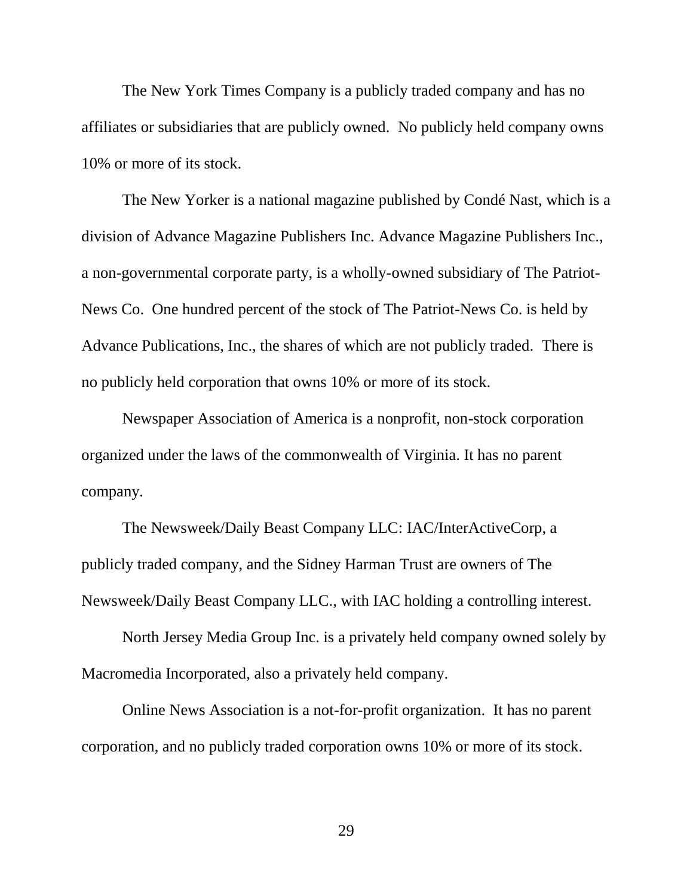The New York Times Company is a publicly traded company and has no affiliates or subsidiaries that are publicly owned. No publicly held company owns 10% or more of its stock.

The New Yorker is a national magazine published by Condé Nast, which is a division of Advance Magazine Publishers Inc. Advance Magazine Publishers Inc., a non-governmental corporate party, is a wholly-owned subsidiary of The Patriot-News Co. One hundred percent of the stock of The Patriot-News Co. is held by Advance Publications, Inc., the shares of which are not publicly traded. There is no publicly held corporation that owns 10% or more of its stock.

Newspaper Association of America is a nonprofit, non-stock corporation organized under the laws of the commonwealth of Virginia. It has no parent company.

The Newsweek/Daily Beast Company LLC: IAC/InterActiveCorp, a publicly traded company, and the Sidney Harman Trust are owners of The Newsweek/Daily Beast Company LLC., with IAC holding a controlling interest.

North Jersey Media Group Inc. is a privately held company owned solely by Macromedia Incorporated, also a privately held company.

Online News Association is a not-for-profit organization. It has no parent corporation, and no publicly traded corporation owns 10% or more of its stock.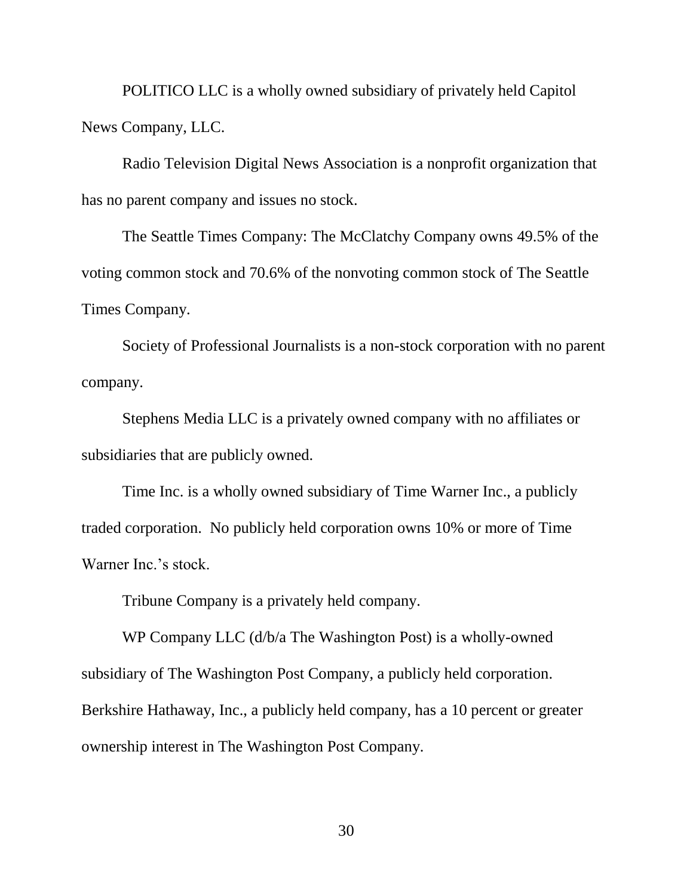POLITICO LLC is a wholly owned subsidiary of privately held Capitol News Company, LLC.

Radio Television Digital News Association is a nonprofit organization that has no parent company and issues no stock.

The Seattle Times Company: The McClatchy Company owns 49.5% of the voting common stock and 70.6% of the nonvoting common stock of The Seattle Times Company.

Society of Professional Journalists is a non-stock corporation with no parent company.

Stephens Media LLC is a privately owned company with no affiliates or subsidiaries that are publicly owned.

Time Inc. is a wholly owned subsidiary of Time Warner Inc., a publicly traded corporation. No publicly held corporation owns 10% or more of Time Warner Inc.'s stock.

Tribune Company is a privately held company.

WP Company LLC (d/b/a The Washington Post) is a wholly-owned subsidiary of The Washington Post Company, a publicly held corporation. Berkshire Hathaway, Inc., a publicly held company, has a 10 percent or greater ownership interest in The Washington Post Company.